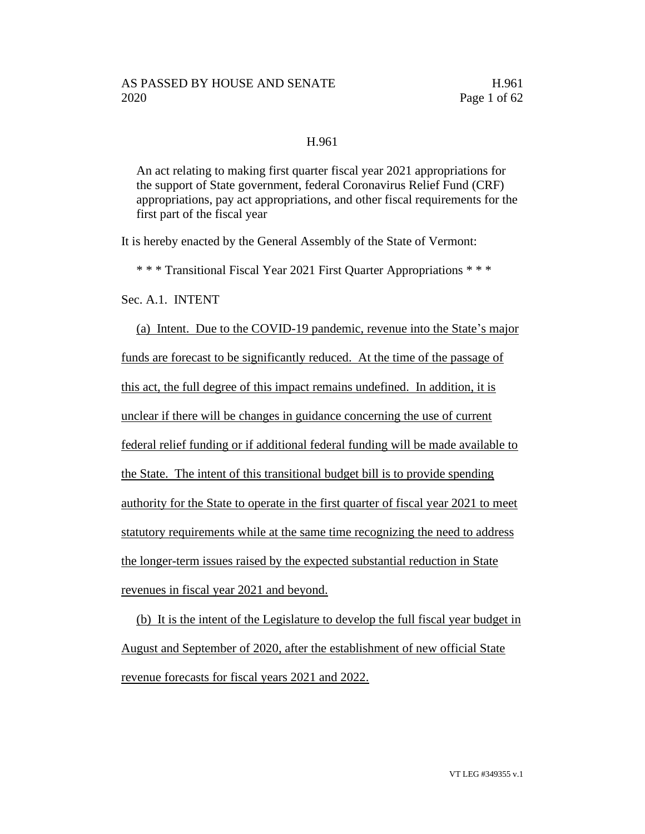#### H.961

An act relating to making first quarter fiscal year 2021 appropriations for the support of State government, federal Coronavirus Relief Fund (CRF) appropriations, pay act appropriations, and other fiscal requirements for the first part of the fiscal year

It is hereby enacted by the General Assembly of the State of Vermont:

\* \* \* Transitional Fiscal Year 2021 First Quarter Appropriations \* \* \*

Sec. A.1. INTENT

(a) Intent. Due to the COVID-19 pandemic, revenue into the State's major funds are forecast to be significantly reduced. At the time of the passage of this act, the full degree of this impact remains undefined. In addition, it is unclear if there will be changes in guidance concerning the use of current federal relief funding or if additional federal funding will be made available to the State. The intent of this transitional budget bill is to provide spending authority for the State to operate in the first quarter of fiscal year 2021 to meet statutory requirements while at the same time recognizing the need to address the longer-term issues raised by the expected substantial reduction in State revenues in fiscal year 2021 and beyond.

(b) It is the intent of the Legislature to develop the full fiscal year budget in August and September of 2020, after the establishment of new official State revenue forecasts for fiscal years 2021 and 2022.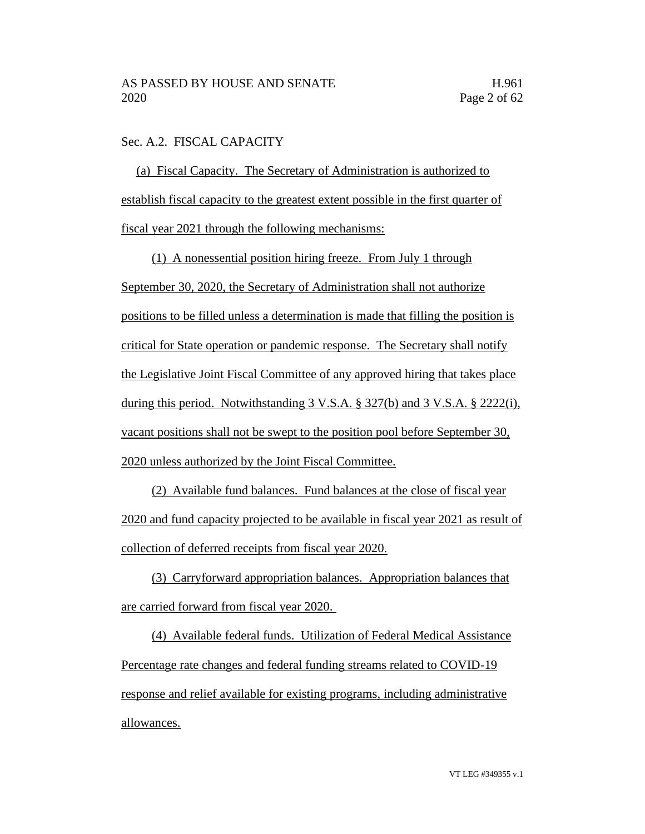## Sec. A.2. FISCAL CAPACITY

(a) Fiscal Capacity. The Secretary of Administration is authorized to establish fiscal capacity to the greatest extent possible in the first quarter of fiscal year 2021 through the following mechanisms:

(1) A nonessential position hiring freeze. From July 1 through September 30, 2020, the Secretary of Administration shall not authorize positions to be filled unless a determination is made that filling the position is critical for State operation or pandemic response. The Secretary shall notify the Legislative Joint Fiscal Committee of any approved hiring that takes place during this period. Notwithstanding 3 V.S.A. § 327(b) and 3 V.S.A. § 2222(i), vacant positions shall not be swept to the position pool before September 30, 2020 unless authorized by the Joint Fiscal Committee.

(2) Available fund balances. Fund balances at the close of fiscal year 2020 and fund capacity projected to be available in fiscal year 2021 as result of collection of deferred receipts from fiscal year 2020.

(3) Carryforward appropriation balances. Appropriation balances that are carried forward from fiscal year 2020.

(4) Available federal funds. Utilization of Federal Medical Assistance Percentage rate changes and federal funding streams related to COVID-19 response and relief available for existing programs, including administrative allowances.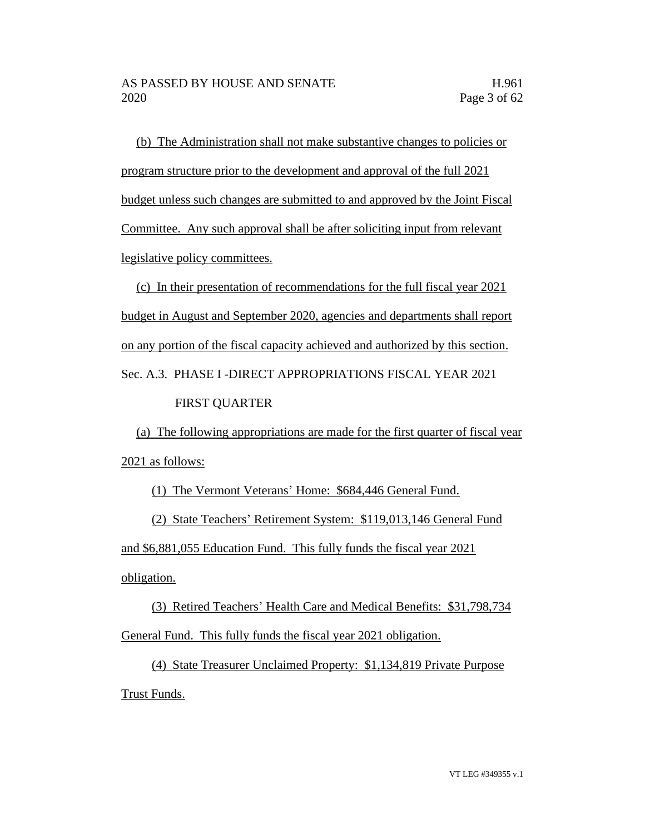(b) The Administration shall not make substantive changes to policies or program structure prior to the development and approval of the full 2021 budget unless such changes are submitted to and approved by the Joint Fiscal Committee. Any such approval shall be after soliciting input from relevant legislative policy committees.

(c) In their presentation of recommendations for the full fiscal year 2021 budget in August and September 2020, agencies and departments shall report on any portion of the fiscal capacity achieved and authorized by this section. Sec. A.3. PHASE I -DIRECT APPROPRIATIONS FISCAL YEAR 2021

## FIRST QUARTER

(a) The following appropriations are made for the first quarter of fiscal year 2021 as follows:

(1) The Vermont Veterans' Home: \$684,446 General Fund.

(2) State Teachers' Retirement System: \$119,013,146 General Fund and \$6,881,055 Education Fund. This fully funds the fiscal year 2021 obligation.

(3) Retired Teachers' Health Care and Medical Benefits: \$31,798,734 General Fund. This fully funds the fiscal year 2021 obligation.

(4) State Treasurer Unclaimed Property: \$1,134,819 Private Purpose Trust Funds.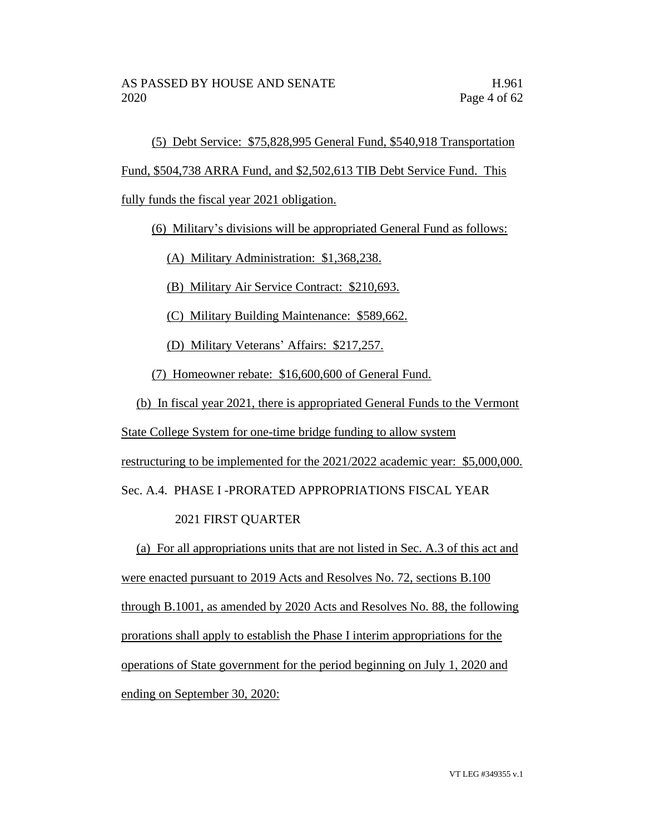(5) Debt Service: \$75,828,995 General Fund, \$540,918 Transportation

Fund, \$504,738 ARRA Fund, and \$2,502,613 TIB Debt Service Fund. This

fully funds the fiscal year 2021 obligation.

(6) Military's divisions will be appropriated General Fund as follows:

(A) Military Administration: \$1,368,238.

(B) Military Air Service Contract: \$210,693.

(C) Military Building Maintenance: \$589,662.

(D) Military Veterans' Affairs: \$217,257.

(7) Homeowner rebate: \$16,600,600 of General Fund.

(b) In fiscal year 2021, there is appropriated General Funds to the Vermont

State College System for one-time bridge funding to allow system

restructuring to be implemented for the 2021/2022 academic year: \$5,000,000.

Sec. A.4. PHASE I -PRORATED APPROPRIATIONS FISCAL YEAR

## 2021 FIRST QUARTER

(a) For all appropriations units that are not listed in Sec. A.3 of this act and were enacted pursuant to 2019 Acts and Resolves No. 72, sections B.100 through B.1001, as amended by 2020 Acts and Resolves No. 88, the following prorations shall apply to establish the Phase I interim appropriations for the operations of State government for the period beginning on July 1, 2020 and ending on September 30, 2020: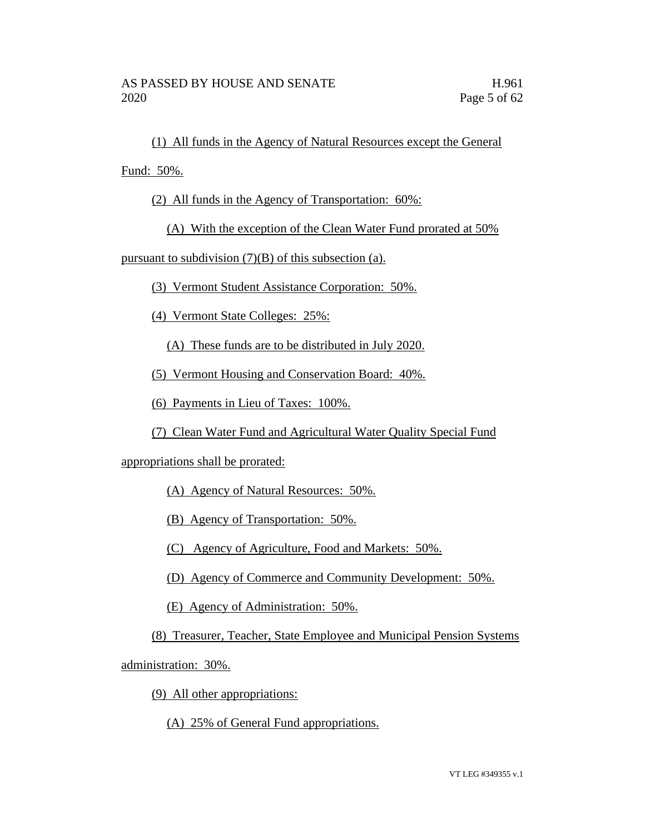(1) All funds in the Agency of Natural Resources except the General

Fund: 50%.

(2) All funds in the Agency of Transportation: 60%:

(A) With the exception of the Clean Water Fund prorated at 50%

pursuant to subdivision  $(7)(B)$  of this subsection (a).

(3) Vermont Student Assistance Corporation: 50%.

(4) Vermont State Colleges: 25%:

(A) These funds are to be distributed in July 2020.

(5) Vermont Housing and Conservation Board: 40%.

(6) Payments in Lieu of Taxes: 100%.

(7) Clean Water Fund and Agricultural Water Quality Special Fund

appropriations shall be prorated:

(A) Agency of Natural Resources: 50%.

(B) Agency of Transportation: 50%.

(C) Agency of Agriculture, Food and Markets: 50%.

(D) Agency of Commerce and Community Development: 50%.

(E) Agency of Administration: 50%.

(8) Treasurer, Teacher, State Employee and Municipal Pension Systems

administration: 30%.

(9) All other appropriations:

(A) 25% of General Fund appropriations.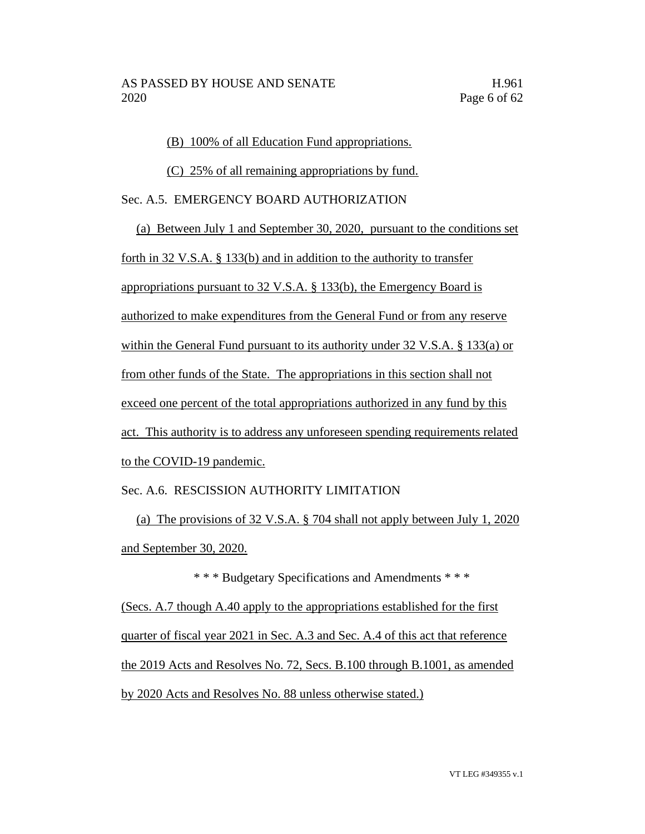(B) 100% of all Education Fund appropriations.

(C) 25% of all remaining appropriations by fund.

Sec. A.5. EMERGENCY BOARD AUTHORIZATION

(a) Between July 1 and September 30, 2020, pursuant to the conditions set forth in 32 V.S.A. § 133(b) and in addition to the authority to transfer appropriations pursuant to 32 V.S.A. § 133(b), the Emergency Board is authorized to make expenditures from the General Fund or from any reserve within the General Fund pursuant to its authority under 32 V.S.A. § 133(a) or from other funds of the State. The appropriations in this section shall not exceed one percent of the total appropriations authorized in any fund by this act. This authority is to address any unforeseen spending requirements related to the COVID-19 pandemic.

## Sec. A.6. RESCISSION AUTHORITY LIMITATION

(a) The provisions of 32 V.S.A. § 704 shall not apply between July 1, 2020 and September 30, 2020.

\* \* \* Budgetary Specifications and Amendments \* \* \* (Secs. A.7 though A.40 apply to the appropriations established for the first quarter of fiscal year 2021 in Sec. A.3 and Sec. A.4 of this act that reference the 2019 Acts and Resolves No. 72, Secs. B.100 through B.1001, as amended by 2020 Acts and Resolves No. 88 unless otherwise stated.)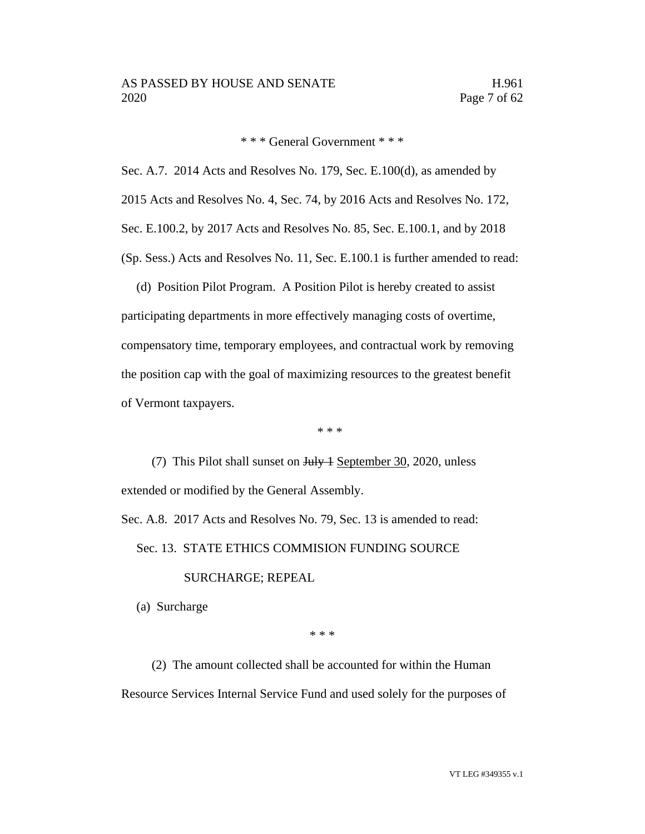\* \* \* General Government \* \* \*

Sec. A.7. 2014 Acts and Resolves No. 179, Sec. E.100(d), as amended by 2015 Acts and Resolves No. 4, Sec. 74, by 2016 Acts and Resolves No. 172, Sec. E.100.2, by 2017 Acts and Resolves No. 85, Sec. E.100.1, and by 2018 (Sp. Sess.) Acts and Resolves No. 11, Sec. E.100.1 is further amended to read:

(d) Position Pilot Program. A Position Pilot is hereby created to assist participating departments in more effectively managing costs of overtime, compensatory time, temporary employees, and contractual work by removing the position cap with the goal of maximizing resources to the greatest benefit of Vermont taxpayers.

\* \* \*

(7) This Pilot shall sunset on <del>July 1</del> September 30, 2020, unless extended or modified by the General Assembly.

Sec. A.8. 2017 Acts and Resolves No. 79, Sec. 13 is amended to read:

Sec. 13. STATE ETHICS COMMISION FUNDING SOURCE

#### SURCHARGE; REPEAL

(a) Surcharge

\* \* \*

(2) The amount collected shall be accounted for within the Human Resource Services Internal Service Fund and used solely for the purposes of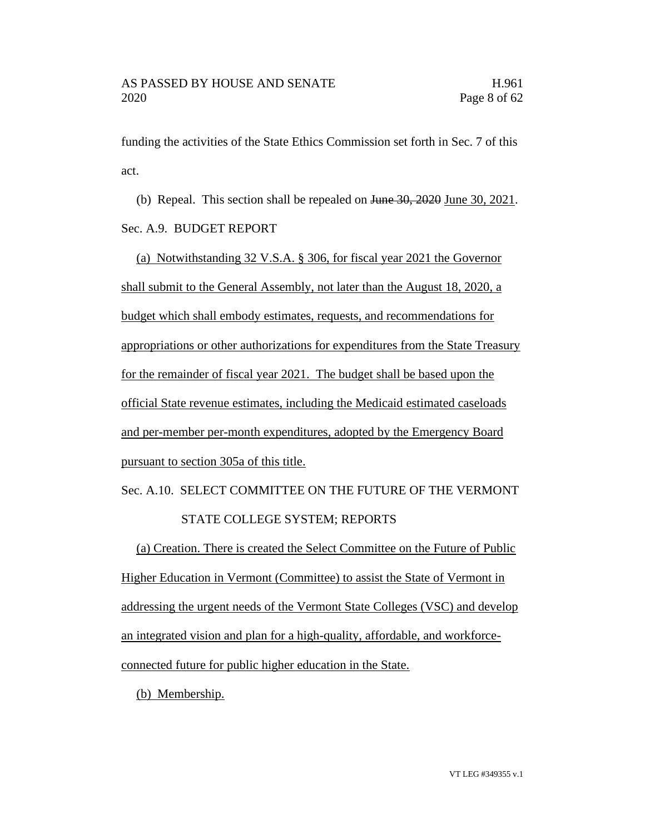funding the activities of the State Ethics Commission set forth in Sec. 7 of this act.

(b) Repeal. This section shall be repealed on June 30, 2020 June 30, 2021. Sec. A.9. BUDGET REPORT

(a) Notwithstanding 32 V.S.A. § 306, for fiscal year 2021 the Governor shall submit to the General Assembly, not later than the August 18, 2020, a budget which shall embody estimates, requests, and recommendations for appropriations or other authorizations for expenditures from the State Treasury for the remainder of fiscal year 2021. The budget shall be based upon the official State revenue estimates, including the Medicaid estimated caseloads and per-member per-month expenditures, adopted by the Emergency Board pursuant to section 305a of this title.

# Sec. A.10. SELECT COMMITTEE ON THE FUTURE OF THE VERMONT STATE COLLEGE SYSTEM; REPORTS

(a) Creation. There is created the Select Committee on the Future of Public Higher Education in Vermont (Committee) to assist the State of Vermont in addressing the urgent needs of the Vermont State Colleges (VSC) and develop an integrated vision and plan for a high-quality, affordable, and workforceconnected future for public higher education in the State.

(b) Membership.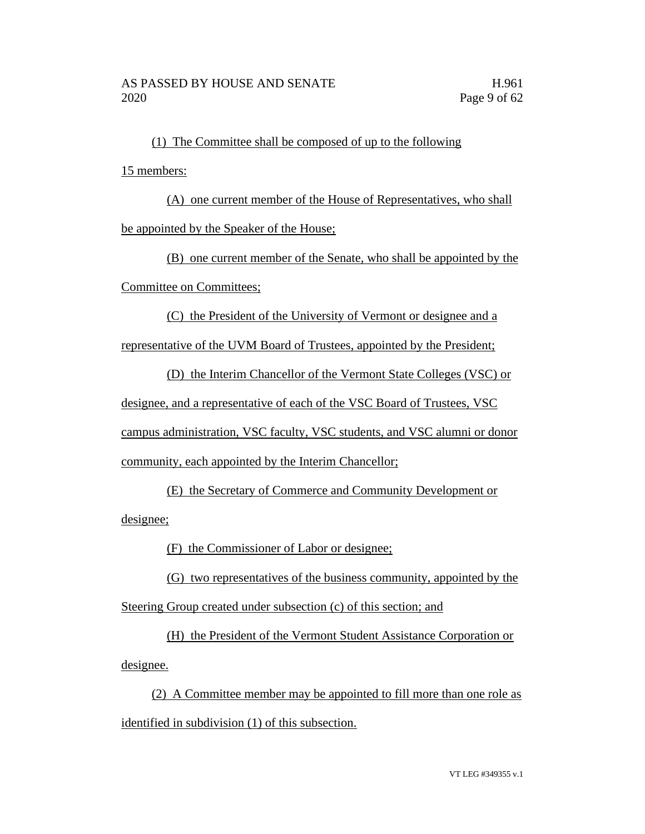(1) The Committee shall be composed of up to the following 15 members:

(A) one current member of the House of Representatives, who shall be appointed by the Speaker of the House;

(B) one current member of the Senate, who shall be appointed by the Committee on Committees;

(C) the President of the University of Vermont or designee and a

representative of the UVM Board of Trustees, appointed by the President;

(D) the Interim Chancellor of the Vermont State Colleges (VSC) or designee, and a representative of each of the VSC Board of Trustees, VSC campus administration, VSC faculty, VSC students, and VSC alumni or donor community, each appointed by the Interim Chancellor;

(E) the Secretary of Commerce and Community Development or

designee;

(F) the Commissioner of Labor or designee;

(G) two representatives of the business community, appointed by the Steering Group created under subsection (c) of this section; and

(H) the President of the Vermont Student Assistance Corporation or designee.

(2) A Committee member may be appointed to fill more than one role as identified in subdivision (1) of this subsection.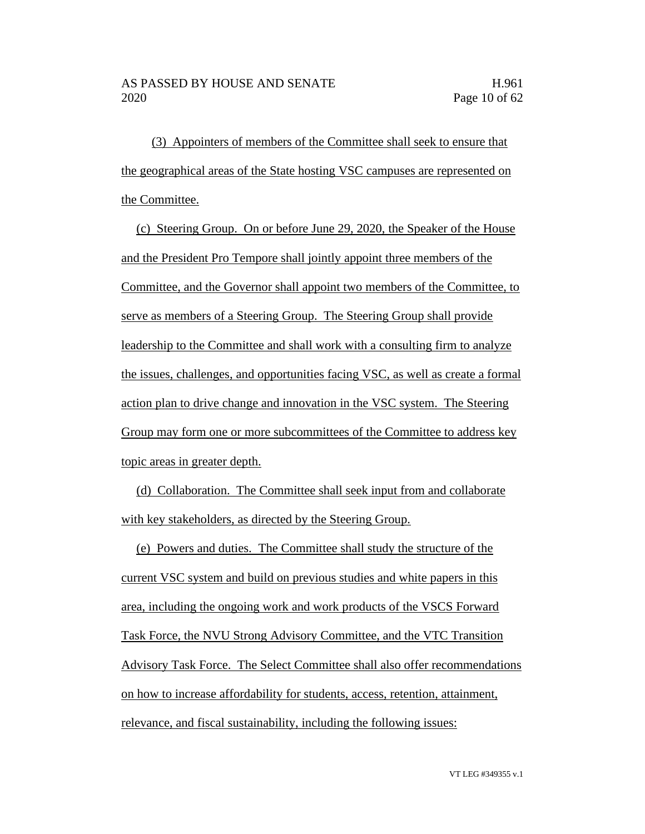(3) Appointers of members of the Committee shall seek to ensure that the geographical areas of the State hosting VSC campuses are represented on the Committee.

(c) Steering Group. On or before June 29, 2020, the Speaker of the House and the President Pro Tempore shall jointly appoint three members of the Committee, and the Governor shall appoint two members of the Committee, to serve as members of a Steering Group. The Steering Group shall provide leadership to the Committee and shall work with a consulting firm to analyze the issues, challenges, and opportunities facing VSC, as well as create a formal action plan to drive change and innovation in the VSC system. The Steering Group may form one or more subcommittees of the Committee to address key topic areas in greater depth.

(d) Collaboration. The Committee shall seek input from and collaborate with key stakeholders, as directed by the Steering Group.

(e) Powers and duties. The Committee shall study the structure of the current VSC system and build on previous studies and white papers in this area, including the ongoing work and work products of the VSCS Forward Task Force, the NVU Strong Advisory Committee, and the VTC Transition Advisory Task Force. The Select Committee shall also offer recommendations on how to increase affordability for students, access, retention, attainment, relevance, and fiscal sustainability, including the following issues: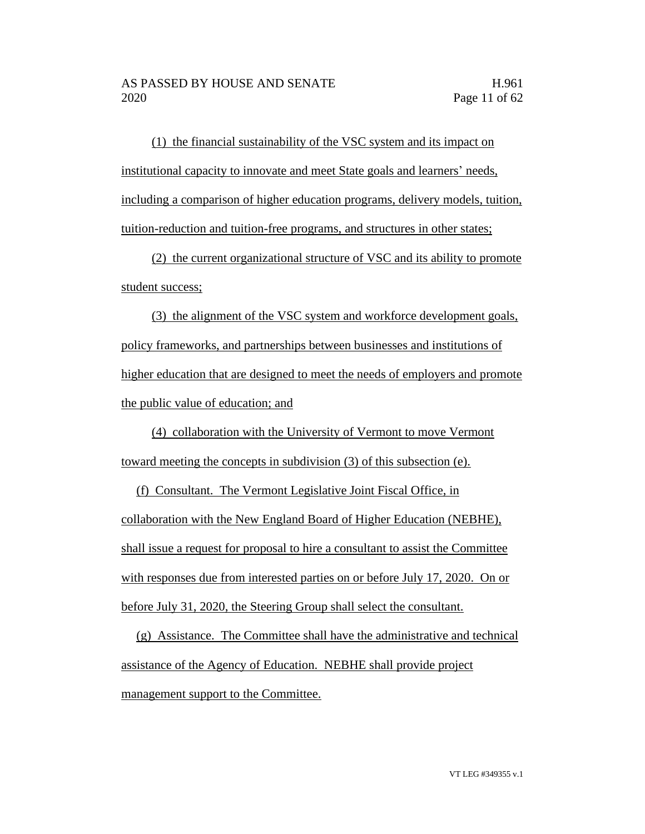(1) the financial sustainability of the VSC system and its impact on institutional capacity to innovate and meet State goals and learners' needs, including a comparison of higher education programs, delivery models, tuition, tuition-reduction and tuition-free programs, and structures in other states;

(2) the current organizational structure of VSC and its ability to promote student success;

(3) the alignment of the VSC system and workforce development goals, policy frameworks, and partnerships between businesses and institutions of higher education that are designed to meet the needs of employers and promote the public value of education; and

(4) collaboration with the University of Vermont to move Vermont toward meeting the concepts in subdivision (3) of this subsection (e).

(f) Consultant. The Vermont Legislative Joint Fiscal Office, in collaboration with the New England Board of Higher Education (NEBHE), shall issue a request for proposal to hire a consultant to assist the Committee with responses due from interested parties on or before July 17, 2020. On or before July 31, 2020, the Steering Group shall select the consultant.

(g) Assistance. The Committee shall have the administrative and technical assistance of the Agency of Education. NEBHE shall provide project management support to the Committee.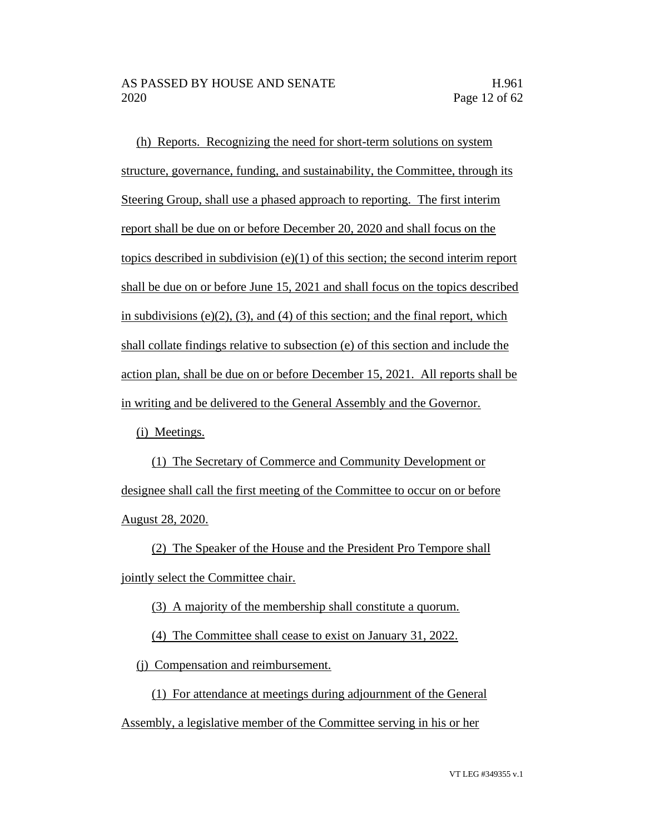(h) Reports. Recognizing the need for short-term solutions on system structure, governance, funding, and sustainability, the Committee, through its Steering Group, shall use a phased approach to reporting. The first interim report shall be due on or before December 20, 2020 and shall focus on the topics described in subdivision  $(e)(1)$  of this section; the second interim report shall be due on or before June 15, 2021 and shall focus on the topics described in subdivisions  $(e)(2)$ ,  $(3)$ , and  $(4)$  of this section; and the final report, which shall collate findings relative to subsection (e) of this section and include the action plan, shall be due on or before December 15, 2021. All reports shall be in writing and be delivered to the General Assembly and the Governor.

(i) Meetings.

(1) The Secretary of Commerce and Community Development or designee shall call the first meeting of the Committee to occur on or before August 28, 2020.

(2) The Speaker of the House and the President Pro Tempore shall jointly select the Committee chair.

(3) A majority of the membership shall constitute a quorum.

(4) The Committee shall cease to exist on January 31, 2022.

(j) Compensation and reimbursement.

(1) For attendance at meetings during adjournment of the General

Assembly, a legislative member of the Committee serving in his or her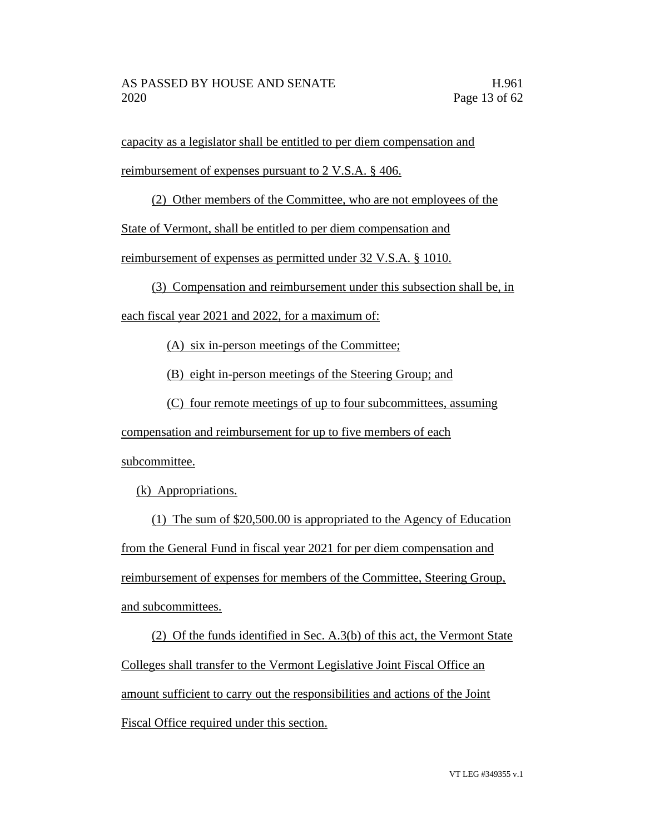capacity as a legislator shall be entitled to per diem compensation and

reimbursement of expenses pursuant to 2 V.S.A. § 406.

(2) Other members of the Committee, who are not employees of the

State of Vermont, shall be entitled to per diem compensation and

reimbursement of expenses as permitted under 32 V.S.A. § 1010.

(3) Compensation and reimbursement under this subsection shall be, in

each fiscal year 2021 and 2022, for a maximum of:

(A) six in-person meetings of the Committee;

(B) eight in-person meetings of the Steering Group; and

(C) four remote meetings of up to four subcommittees, assuming

compensation and reimbursement for up to five members of each subcommittee.

(k) Appropriations.

(1) The sum of \$20,500.00 is appropriated to the Agency of Education from the General Fund in fiscal year 2021 for per diem compensation and reimbursement of expenses for members of the Committee, Steering Group, and subcommittees.

(2) Of the funds identified in Sec. A.3(b) of this act, the Vermont State Colleges shall transfer to the Vermont Legislative Joint Fiscal Office an amount sufficient to carry out the responsibilities and actions of the Joint Fiscal Office required under this section.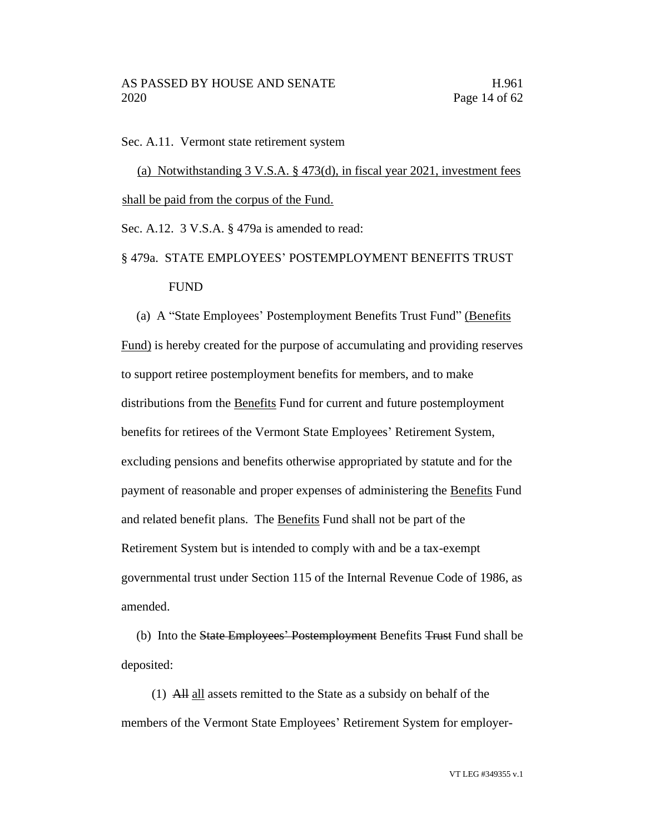Sec. A.11. Vermont state retirement system

(a) Notwithstanding 3 V.S.A. § 473(d), in fiscal year 2021, investment fees shall be paid from the corpus of the Fund.

Sec. A.12. 3 V.S.A. § 479a is amended to read:

## § 479a. STATE EMPLOYEES' POSTEMPLOYMENT BENEFITS TRUST FUND

(a) A "State Employees' Postemployment Benefits Trust Fund" (Benefits Fund) is hereby created for the purpose of accumulating and providing reserves to support retiree postemployment benefits for members, and to make distributions from the Benefits Fund for current and future postemployment benefits for retirees of the Vermont State Employees' Retirement System, excluding pensions and benefits otherwise appropriated by statute and for the payment of reasonable and proper expenses of administering the Benefits Fund and related benefit plans. The Benefits Fund shall not be part of the Retirement System but is intended to comply with and be a tax-exempt governmental trust under Section 115 of the Internal Revenue Code of 1986, as amended.

(b) Into the State Employees' Postemployment Benefits Trust Fund shall be deposited:

(1) All all assets remitted to the State as a subsidy on behalf of the members of the Vermont State Employees' Retirement System for employer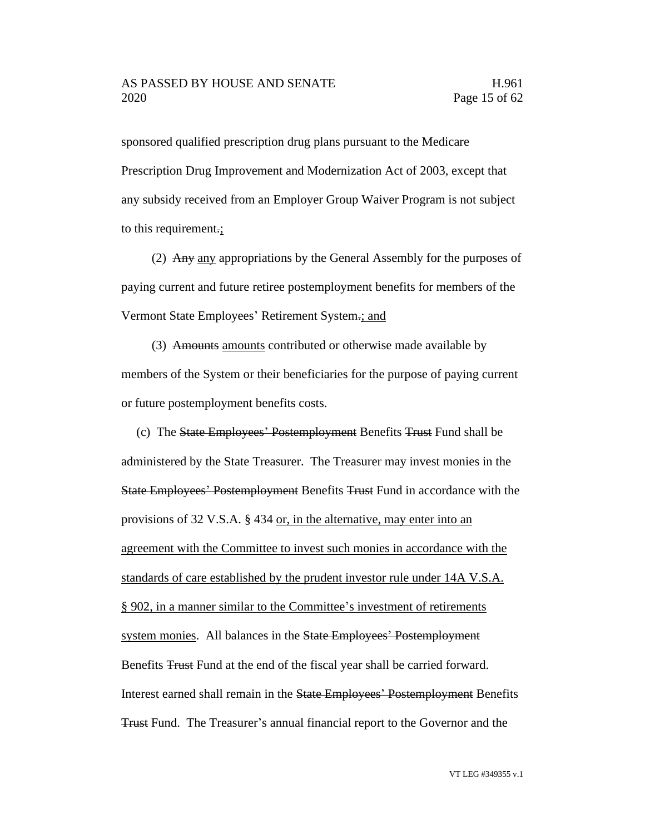sponsored qualified prescription drug plans pursuant to the Medicare Prescription Drug Improvement and Modernization Act of 2003, except that any subsidy received from an Employer Group Waiver Program is not subject to this requirement.;

(2) Any any appropriations by the General Assembly for the purposes of paying current and future retiree postemployment benefits for members of the Vermont State Employees' Retirement System.; and

(3) Amounts amounts contributed or otherwise made available by members of the System or their beneficiaries for the purpose of paying current or future postemployment benefits costs.

(c) The State Employees' Postemployment Benefits Trust Fund shall be administered by the State Treasurer. The Treasurer may invest monies in the State Employees' Postemployment Benefits Trust Fund in accordance with the provisions of 32 V.S.A. § 434 or, in the alternative, may enter into an agreement with the Committee to invest such monies in accordance with the standards of care established by the prudent investor rule under 14A V.S.A. § 902, in a manner similar to the Committee's investment of retirements system monies. All balances in the State Employees' Postemployment Benefits Trust Fund at the end of the fiscal year shall be carried forward. Interest earned shall remain in the State Employees' Postemployment Benefits Trust Fund. The Treasurer's annual financial report to the Governor and the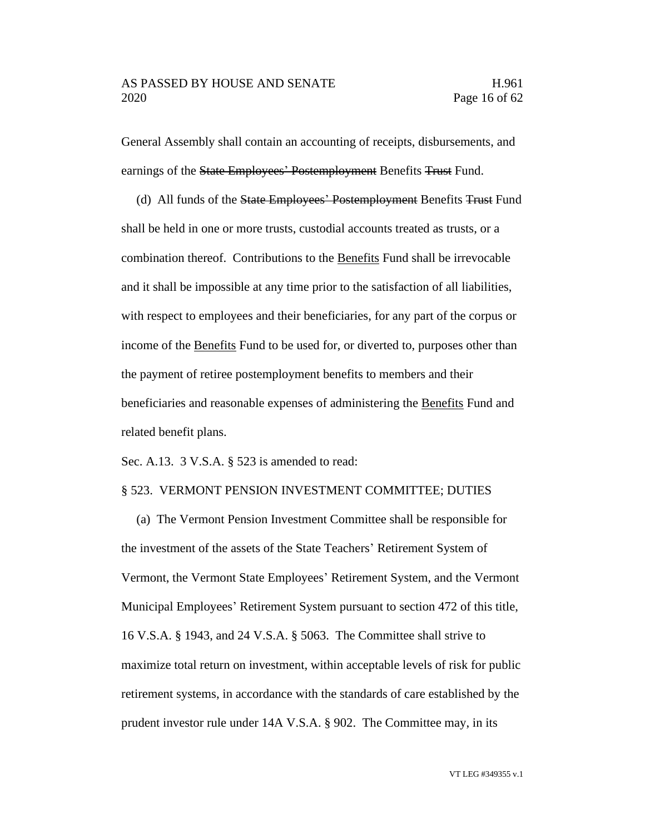General Assembly shall contain an accounting of receipts, disbursements, and earnings of the State Employees' Postemployment Benefits Trust Fund.

(d) All funds of the State Employees' Postemployment Benefits Trust Fund shall be held in one or more trusts, custodial accounts treated as trusts, or a combination thereof. Contributions to the Benefits Fund shall be irrevocable and it shall be impossible at any time prior to the satisfaction of all liabilities, with respect to employees and their beneficiaries, for any part of the corpus or income of the Benefits Fund to be used for, or diverted to, purposes other than the payment of retiree postemployment benefits to members and their beneficiaries and reasonable expenses of administering the Benefits Fund and related benefit plans.

Sec. A.13. 3 V.S.A. § 523 is amended to read:

#### § 523. VERMONT PENSION INVESTMENT COMMITTEE; DUTIES

(a) The Vermont Pension Investment Committee shall be responsible for the investment of the assets of the State Teachers' Retirement System of Vermont, the Vermont State Employees' Retirement System, and the Vermont Municipal Employees' Retirement System pursuant to section 472 of this title, 16 V.S.A. § 1943, and 24 V.S.A. § 5063. The Committee shall strive to maximize total return on investment, within acceptable levels of risk for public retirement systems, in accordance with the standards of care established by the prudent investor rule under 14A V.S.A. § 902. The Committee may, in its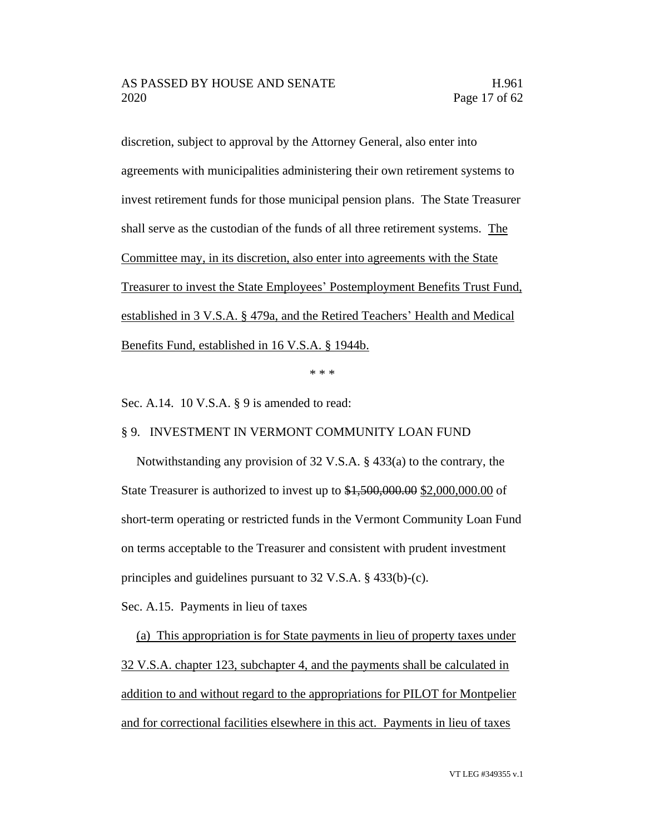discretion, subject to approval by the Attorney General, also enter into agreements with municipalities administering their own retirement systems to invest retirement funds for those municipal pension plans. The State Treasurer shall serve as the custodian of the funds of all three retirement systems. The Committee may, in its discretion, also enter into agreements with the State Treasurer to invest the State Employees' Postemployment Benefits Trust Fund, established in 3 V.S.A. § 479a, and the Retired Teachers' Health and Medical Benefits Fund, established in 16 V.S.A. § 1944b.

\* \* \*

Sec. A.14. 10 V.S.A. § 9 is amended to read:

#### § 9. INVESTMENT IN VERMONT COMMUNITY LOAN FUND

Notwithstanding any provision of 32 V.S.A. § 433(a) to the contrary, the State Treasurer is authorized to invest up to \$1,500,000.00 \$2,000,000.00 of short-term operating or restricted funds in the Vermont Community Loan Fund on terms acceptable to the Treasurer and consistent with prudent investment principles and guidelines pursuant to 32 V.S.A. § 433(b)-(c).

Sec. A.15. Payments in lieu of taxes

(a) This appropriation is for State payments in lieu of property taxes under 32 V.S.A. chapter 123, subchapter 4, and the payments shall be calculated in addition to and without regard to the appropriations for PILOT for Montpelier and for correctional facilities elsewhere in this act. Payments in lieu of taxes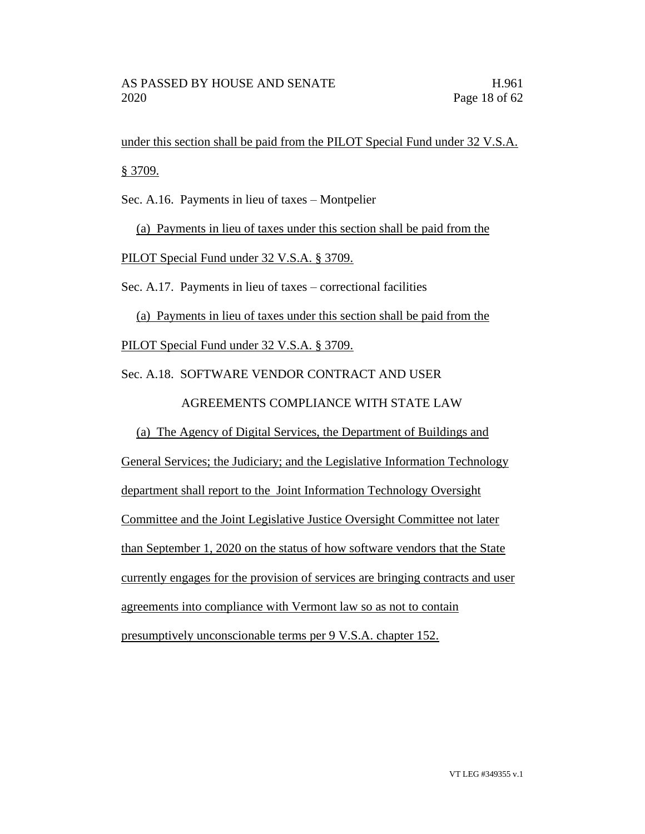under this section shall be paid from the PILOT Special Fund under 32 V.S.A. § 3709.

Sec. A.16. Payments in lieu of taxes – Montpelier

(a) Payments in lieu of taxes under this section shall be paid from the PILOT Special Fund under 32 V.S.A. § 3709.

Sec. A.17. Payments in lieu of taxes – correctional facilities

(a) Payments in lieu of taxes under this section shall be paid from the PILOT Special Fund under 32 V.S.A. § 3709.

Sec. A.18. SOFTWARE VENDOR CONTRACT AND USER

AGREEMENTS COMPLIANCE WITH STATE LAW

(a) The Agency of Digital Services, the Department of Buildings and

General Services; the Judiciary; and the Legislative Information Technology department shall report to the Joint Information Technology Oversight Committee and the Joint Legislative Justice Oversight Committee not later than September 1, 2020 on the status of how software vendors that the State currently engages for the provision of services are bringing contracts and user agreements into compliance with Vermont law so as not to contain presumptively unconscionable terms per 9 V.S.A. chapter 152.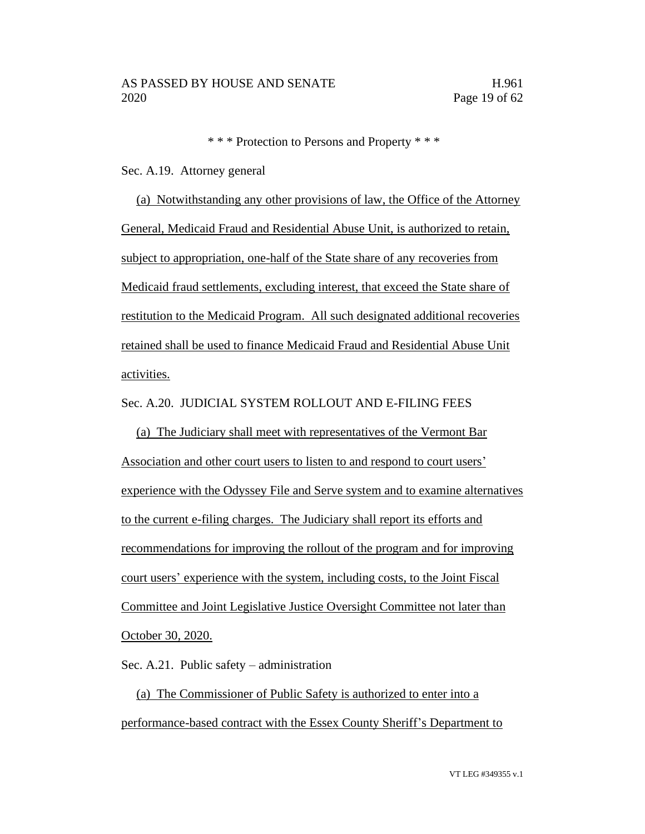\* \* \* Protection to Persons and Property \* \* \*

Sec. A.19. Attorney general

(a) Notwithstanding any other provisions of law, the Office of the Attorney General, Medicaid Fraud and Residential Abuse Unit, is authorized to retain, subject to appropriation, one-half of the State share of any recoveries from Medicaid fraud settlements, excluding interest, that exceed the State share of restitution to the Medicaid Program. All such designated additional recoveries retained shall be used to finance Medicaid Fraud and Residential Abuse Unit activities.

Sec. A.20. JUDICIAL SYSTEM ROLLOUT AND E-FILING FEES

(a) The Judiciary shall meet with representatives of the Vermont Bar Association and other court users to listen to and respond to court users' experience with the Odyssey File and Serve system and to examine alternatives to the current e-filing charges. The Judiciary shall report its efforts and recommendations for improving the rollout of the program and for improving court users' experience with the system, including costs, to the Joint Fiscal Committee and Joint Legislative Justice Oversight Committee not later than October 30, 2020.

Sec. A.21. Public safety – administration

(a) The Commissioner of Public Safety is authorized to enter into a performance-based contract with the Essex County Sheriff's Department to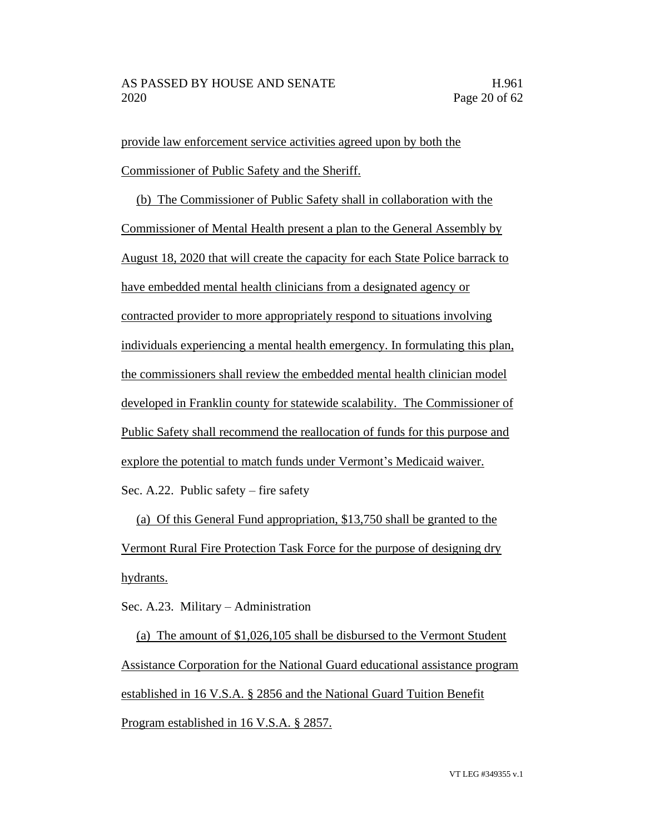provide law enforcement service activities agreed upon by both the Commissioner of Public Safety and the Sheriff.

(b) The Commissioner of Public Safety shall in collaboration with the Commissioner of Mental Health present a plan to the General Assembly by August 18, 2020 that will create the capacity for each State Police barrack to have embedded mental health clinicians from a designated agency or contracted provider to more appropriately respond to situations involving individuals experiencing a mental health emergency. In formulating this plan, the commissioners shall review the embedded mental health clinician model developed in Franklin county for statewide scalability. The Commissioner of Public Safety shall recommend the reallocation of funds for this purpose and explore the potential to match funds under Vermont's Medicaid waiver. Sec. A.22. Public safety – fire safety

(a) Of this General Fund appropriation, \$13,750 shall be granted to the Vermont Rural Fire Protection Task Force for the purpose of designing dry hydrants.

Sec. A.23. Military – Administration

(a) The amount of \$1,026,105 shall be disbursed to the Vermont Student Assistance Corporation for the National Guard educational assistance program established in 16 V.S.A. § 2856 and the National Guard Tuition Benefit Program established in 16 V.S.A. § 2857.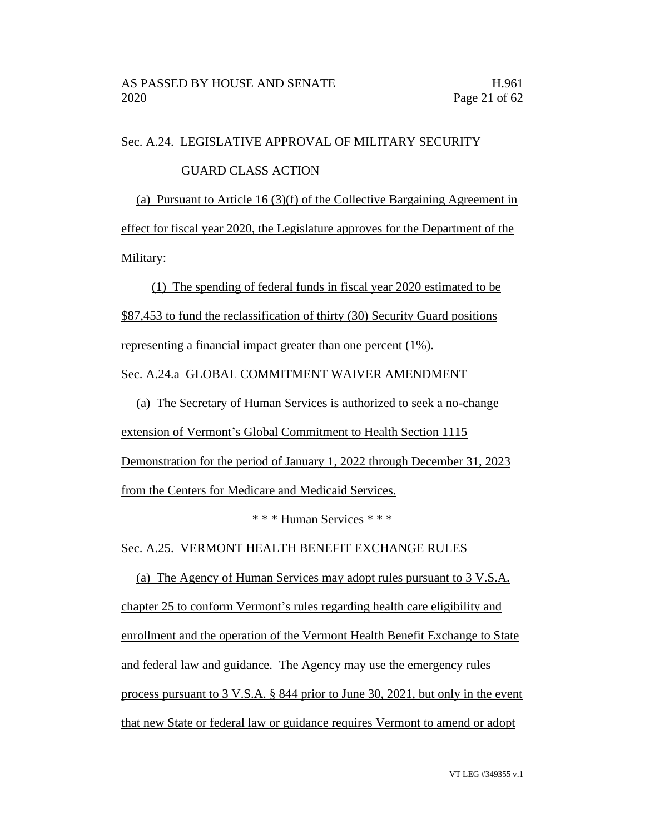#### Sec. A.24. LEGISLATIVE APPROVAL OF MILITARY SECURITY

#### GUARD CLASS ACTION

(a) Pursuant to Article 16 (3)(f) of the Collective Bargaining Agreement in effect for fiscal year 2020, the Legislature approves for the Department of the Military:

(1) The spending of federal funds in fiscal year 2020 estimated to be \$87,453 to fund the reclassification of thirty (30) Security Guard positions representing a financial impact greater than one percent (1%). Sec. A.24.a GLOBAL COMMITMENT WAIVER AMENDMENT

(a) The Secretary of Human Services is authorized to seek a no-change extension of Vermont's Global Commitment to Health Section 1115 Demonstration for the period of January 1, 2022 through December 31, 2023 from the Centers for Medicare and Medicaid Services.

\* \* \* Human Services \* \* \*

Sec. A.25. VERMONT HEALTH BENEFIT EXCHANGE RULES

(a) The Agency of Human Services may adopt rules pursuant to 3 V.S.A. chapter 25 to conform Vermont's rules regarding health care eligibility and enrollment and the operation of the Vermont Health Benefit Exchange to State and federal law and guidance. The Agency may use the emergency rules process pursuant to 3 V.S.A. § 844 prior to June 30, 2021, but only in the event that new State or federal law or guidance requires Vermont to amend or adopt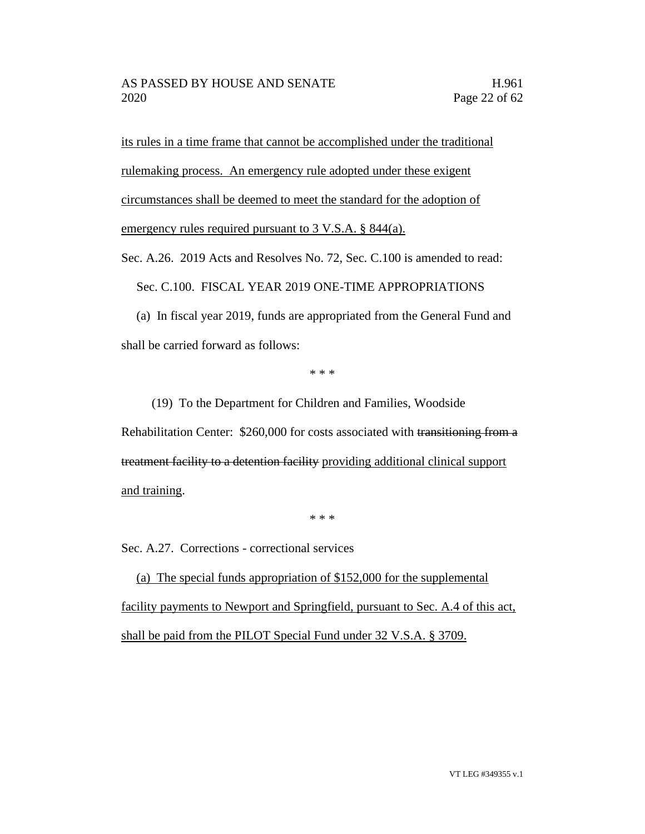its rules in a time frame that cannot be accomplished under the traditional rulemaking process. An emergency rule adopted under these exigent circumstances shall be deemed to meet the standard for the adoption of emergency rules required pursuant to 3 V.S.A. § 844(a).

Sec. A.26. 2019 Acts and Resolves No. 72, Sec. C.100 is amended to read:

Sec. C.100. FISCAL YEAR 2019 ONE-TIME APPROPRIATIONS

(a) In fiscal year 2019, funds are appropriated from the General Fund and shall be carried forward as follows:

\* \* \*

(19) To the Department for Children and Families, Woodside Rehabilitation Center: \$260,000 for costs associated with transitioning from a treatment facility to a detention facility providing additional clinical support and training.

\* \* \*

Sec. A.27. Corrections - correctional services

(a) The special funds appropriation of \$152,000 for the supplemental facility payments to Newport and Springfield, pursuant to Sec. A.4 of this act, shall be paid from the PILOT Special Fund under 32 V.S.A. § 3709.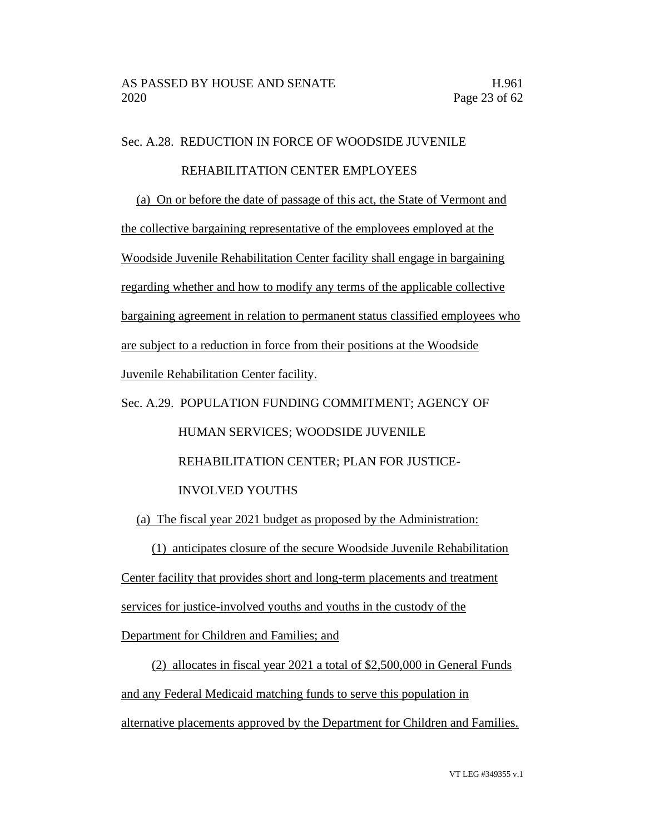Sec. A.28. REDUCTION IN FORCE OF WOODSIDE JUVENILE

### REHABILITATION CENTER EMPLOYEES

(a) On or before the date of passage of this act, the State of Vermont and

the collective bargaining representative of the employees employed at the

Woodside Juvenile Rehabilitation Center facility shall engage in bargaining

regarding whether and how to modify any terms of the applicable collective

bargaining agreement in relation to permanent status classified employees who

are subject to a reduction in force from their positions at the Woodside

Juvenile Rehabilitation Center facility.

Sec. A.29. POPULATION FUNDING COMMITMENT; AGENCY OF HUMAN SERVICES; WOODSIDE JUVENILE REHABILITATION CENTER; PLAN FOR JUSTICE- INVOLVED YOUTHS

(a) The fiscal year 2021 budget as proposed by the Administration:

(1) anticipates closure of the secure Woodside Juvenile Rehabilitation

Center facility that provides short and long-term placements and treatment

services for justice-involved youths and youths in the custody of the

Department for Children and Families; and

(2) allocates in fiscal year 2021 a total of \$2,500,000 in General Funds and any Federal Medicaid matching funds to serve this population in alternative placements approved by the Department for Children and Families.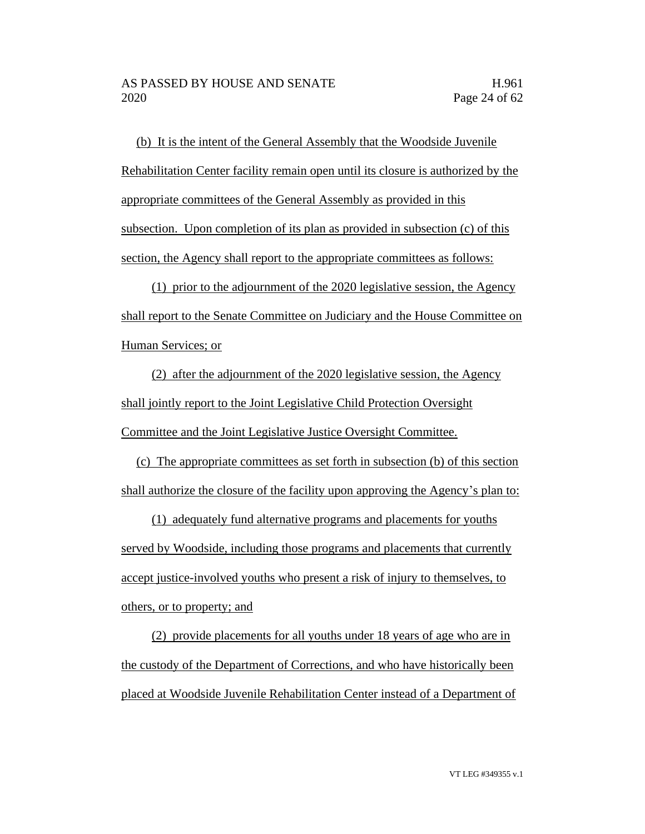(b) It is the intent of the General Assembly that the Woodside Juvenile Rehabilitation Center facility remain open until its closure is authorized by the appropriate committees of the General Assembly as provided in this subsection. Upon completion of its plan as provided in subsection (c) of this section, the Agency shall report to the appropriate committees as follows:

(1) prior to the adjournment of the 2020 legislative session, the Agency shall report to the Senate Committee on Judiciary and the House Committee on Human Services; or

(2) after the adjournment of the 2020 legislative session, the Agency shall jointly report to the Joint Legislative Child Protection Oversight Committee and the Joint Legislative Justice Oversight Committee.

(c) The appropriate committees as set forth in subsection (b) of this section shall authorize the closure of the facility upon approving the Agency's plan to:

(1) adequately fund alternative programs and placements for youths served by Woodside, including those programs and placements that currently accept justice-involved youths who present a risk of injury to themselves, to others, or to property; and

(2) provide placements for all youths under 18 years of age who are in the custody of the Department of Corrections, and who have historically been placed at Woodside Juvenile Rehabilitation Center instead of a Department of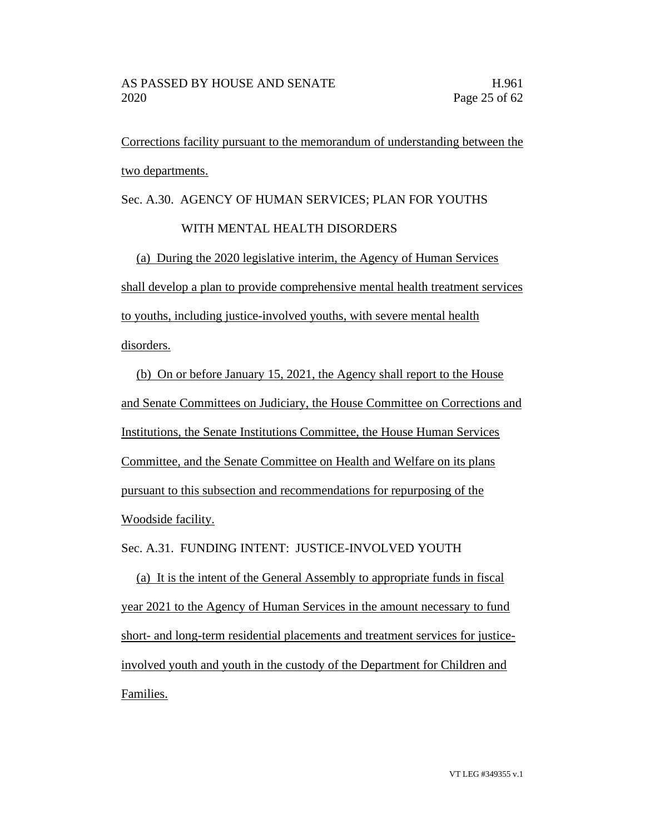Corrections facility pursuant to the memorandum of understanding between the two departments.

Sec. A.30. AGENCY OF HUMAN SERVICES; PLAN FOR YOUTHS

## WITH MENTAL HEALTH DISORDERS

(a) During the 2020 legislative interim, the Agency of Human Services shall develop a plan to provide comprehensive mental health treatment services to youths, including justice-involved youths, with severe mental health disorders.

(b) On or before January 15, 2021, the Agency shall report to the House and Senate Committees on Judiciary, the House Committee on Corrections and Institutions, the Senate Institutions Committee, the House Human Services Committee, and the Senate Committee on Health and Welfare on its plans pursuant to this subsection and recommendations for repurposing of the Woodside facility.

Sec. A.31. FUNDING INTENT: JUSTICE-INVOLVED YOUTH

(a) It is the intent of the General Assembly to appropriate funds in fiscal year 2021 to the Agency of Human Services in the amount necessary to fund short- and long-term residential placements and treatment services for justiceinvolved youth and youth in the custody of the Department for Children and Families.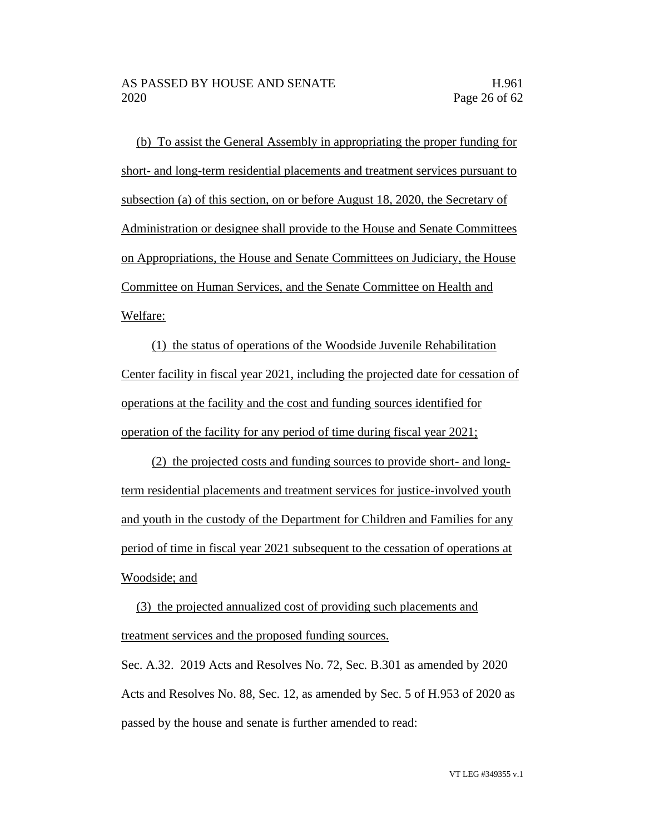(b) To assist the General Assembly in appropriating the proper funding for short- and long-term residential placements and treatment services pursuant to subsection (a) of this section, on or before August 18, 2020, the Secretary of Administration or designee shall provide to the House and Senate Committees on Appropriations, the House and Senate Committees on Judiciary, the House Committee on Human Services, and the Senate Committee on Health and Welfare:

(1) the status of operations of the Woodside Juvenile Rehabilitation Center facility in fiscal year 2021, including the projected date for cessation of operations at the facility and the cost and funding sources identified for operation of the facility for any period of time during fiscal year 2021;

(2) the projected costs and funding sources to provide short- and longterm residential placements and treatment services for justice-involved youth and youth in the custody of the Department for Children and Families for any period of time in fiscal year 2021 subsequent to the cessation of operations at Woodside; and

(3) the projected annualized cost of providing such placements and treatment services and the proposed funding sources.

Sec. A.32. 2019 Acts and Resolves No. 72, Sec. B.301 as amended by 2020 Acts and Resolves No. 88, Sec. 12, as amended by Sec. 5 of H.953 of 2020 as passed by the house and senate is further amended to read: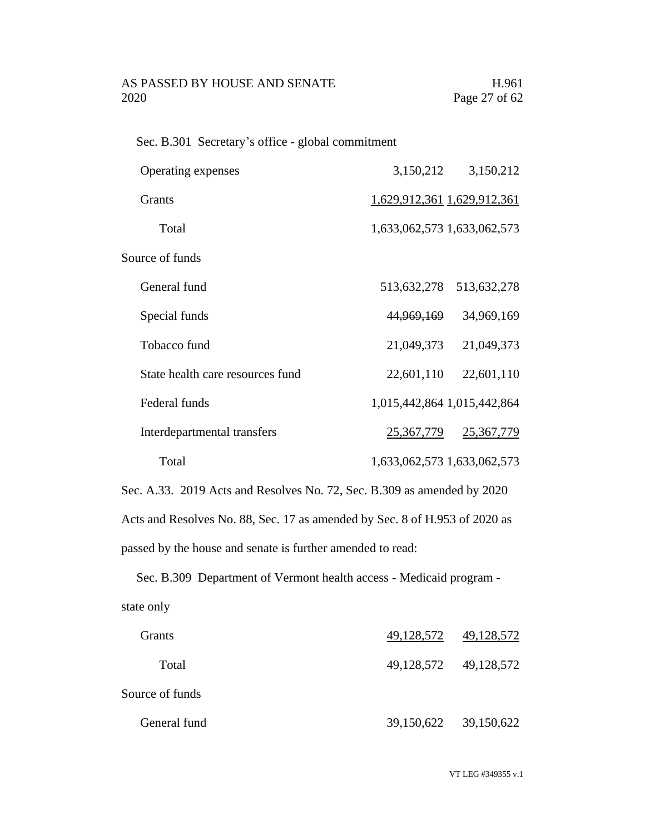## AS PASSED BY HOUSE AND SENATE H.961 2020 Page 27 of 62

Sec. B.301 Secretary's office - global commitment

| Operating expenses               | 3,150,212                   | 3,150,212   |
|----------------------------------|-----------------------------|-------------|
| <b>Grants</b>                    | 1,629,912,361 1,629,912,361 |             |
| Total                            | 1,633,062,573 1,633,062,573 |             |
| Source of funds                  |                             |             |
| General fund                     | 513,632,278                 | 513,632,278 |
| Special funds                    | 44,969,169                  | 34,969,169  |
| Tobacco fund                     | 21,049,373                  | 21,049,373  |
| State health care resources fund | 22,601,110                  | 22,601,110  |
| Federal funds                    | 1,015,442,864 1,015,442,864 |             |
| Interdepartmental transfers      | 25,367,779                  | 25,367,779  |
| Total                            | 1,633,062,573 1,633,062,573 |             |

Sec. A.33. 2019 Acts and Resolves No. 72, Sec. B.309 as amended by 2020 Acts and Resolves No. 88, Sec. 17 as amended by Sec. 8 of H.953 of 2020 as passed by the house and senate is further amended to read:

Sec. B.309 Department of Vermont health access - Medicaid program state only

| Grants          | 49, 128, 572 49, 128, 572 |
|-----------------|---------------------------|
| Total           | 49,128,572 49,128,572     |
| Source of funds |                           |
| General fund    | 39,150,622 39,150,622     |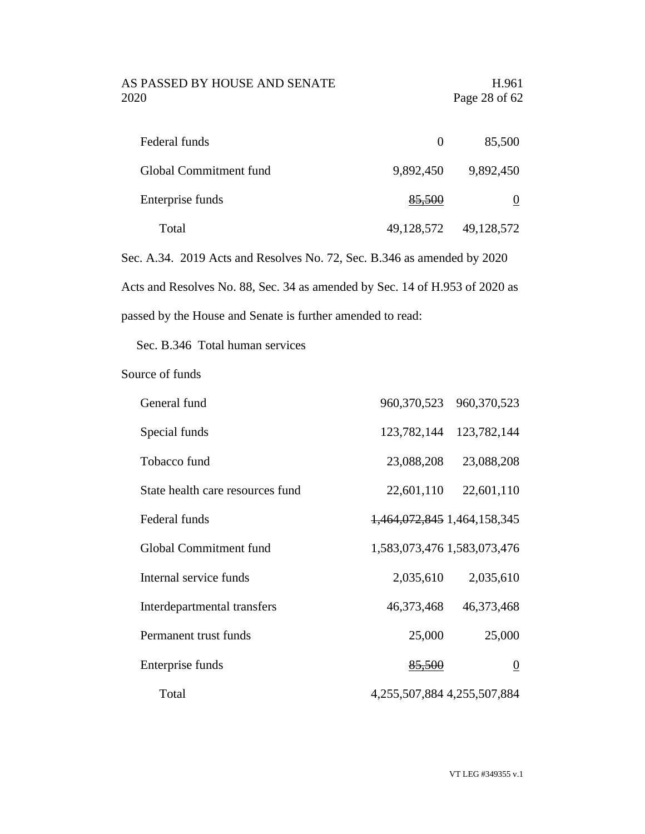## AS PASSED BY HOUSE AND SENATE H.961 2020 Page 28 of 62

| Federal funds          | $\theta$   | 85,500     |
|------------------------|------------|------------|
| Global Commitment fund | 9,892,450  | 9,892,450  |
| Enterprise funds       | 85,500     | 0          |
| Total                  | 49,128,572 | 49,128,572 |

Sec. A.34. 2019 Acts and Resolves No. 72, Sec. B.346 as amended by 2020 Acts and Resolves No. 88, Sec. 34 as amended by Sec. 14 of H.953 of 2020 as passed by the House and Senate is further amended to read:

Sec. B.346 Total human services

Source of funds

| General fund                     |                             | 960, 370, 523 960, 370, 523 |
|----------------------------------|-----------------------------|-----------------------------|
| Special funds                    | 123,782,144                 | 123,782,144                 |
| Tobacco fund                     | 23,088,208                  | 23,088,208                  |
| State health care resources fund | 22,601,110                  | 22,601,110                  |
| Federal funds                    | 1,464,072,845 1,464,158,345 |                             |
| Global Commitment fund           | 1,583,073,476 1,583,073,476 |                             |
| Internal service funds           | 2,035,610                   | 2,035,610                   |
| Interdepartmental transfers      | 46,373,468                  | 46,373,468                  |
| Permanent trust funds            | 25,000                      | 25,000                      |
| Enterprise funds                 | 85,500                      | $\overline{0}$              |
| Total                            | 4,255,507,884 4,255,507,884 |                             |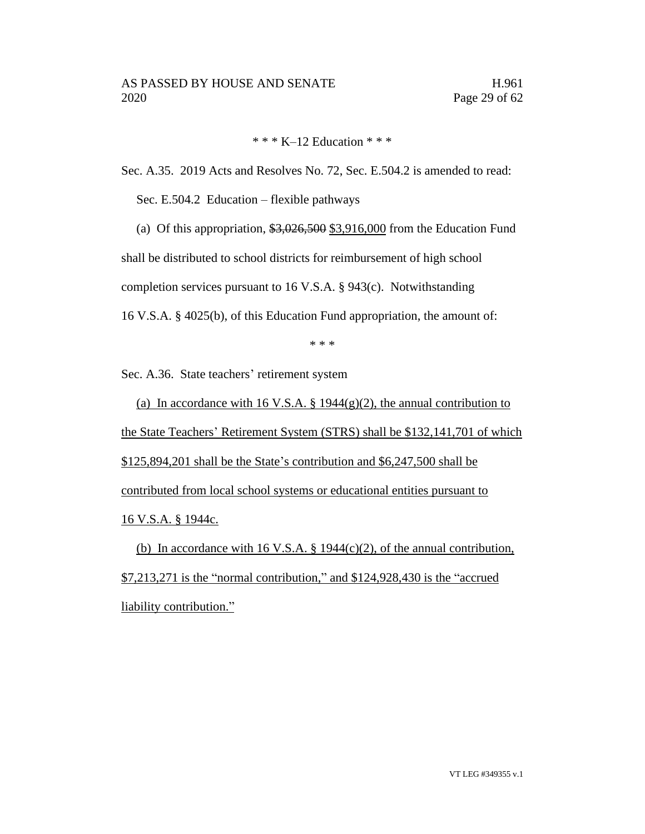\* \* \* K–12 Education \* \* \*

Sec. A.35. 2019 Acts and Resolves No. 72, Sec. E.504.2 is amended to read:

Sec. E.504.2 Education – flexible pathways

(a) Of this appropriation,  $\frac{$3,026,500}{$3,916,000}$  from the Education Fund

shall be distributed to school districts for reimbursement of high school

completion services pursuant to 16 V.S.A. § 943(c). Notwithstanding

16 V.S.A. § 4025(b), of this Education Fund appropriation, the amount of:

\* \* \*

Sec. A.36. State teachers' retirement system

(a) In accordance with 16 V.S.A. § 1944(g)(2), the annual contribution to the State Teachers' Retirement System (STRS) shall be \$132,141,701 of which \$125,894,201 shall be the State's contribution and \$6,247,500 shall be contributed from local school systems or educational entities pursuant to 16 V.S.A. § 1944c.

(b) In accordance with 16 V.S.A.  $\S$  1944(c)(2), of the annual contribution, \$7,213,271 is the "normal contribution," and \$124,928,430 is the "accrued liability contribution."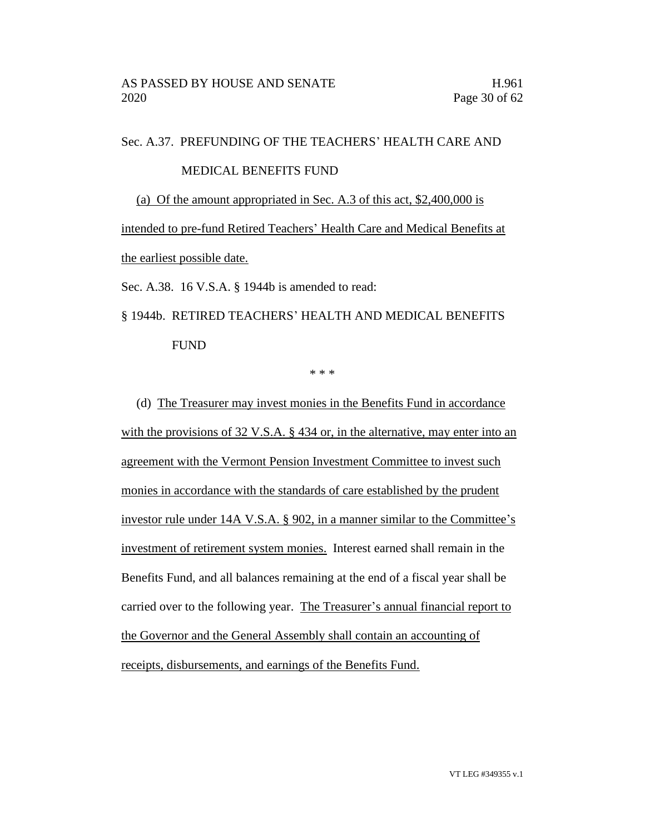Sec. A.37. PREFUNDING OF THE TEACHERS' HEALTH CARE AND

#### MEDICAL BENEFITS FUND

(a) Of the amount appropriated in Sec. A.3 of this act, \$2,400,000 is

intended to pre-fund Retired Teachers' Health Care and Medical Benefits at the earliest possible date.

Sec. A.38. 16 V.S.A. § 1944b is amended to read:

§ 1944b. RETIRED TEACHERS' HEALTH AND MEDICAL BENEFITS FUND

\* \* \*

(d) The Treasurer may invest monies in the Benefits Fund in accordance with the provisions of 32 V.S.A. § 434 or, in the alternative, may enter into an agreement with the Vermont Pension Investment Committee to invest such monies in accordance with the standards of care established by the prudent investor rule under 14A V.S.A. § 902, in a manner similar to the Committee's investment of retirement system monies. Interest earned shall remain in the Benefits Fund, and all balances remaining at the end of a fiscal year shall be carried over to the following year. The Treasurer's annual financial report to the Governor and the General Assembly shall contain an accounting of receipts, disbursements, and earnings of the Benefits Fund.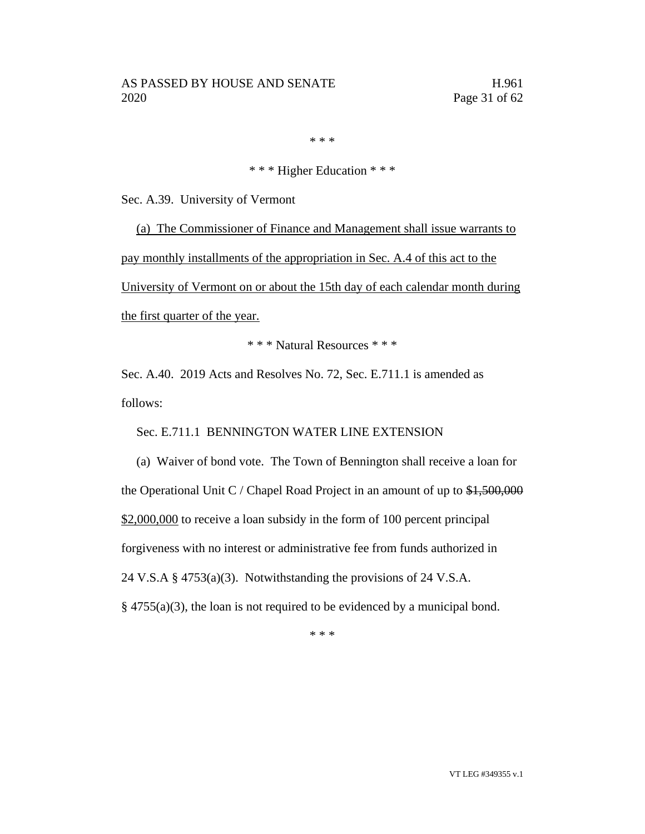\* \* \*

## \* \* \* Higher Education \* \* \*

Sec. A.39. University of Vermont

(a) The Commissioner of Finance and Management shall issue warrants to pay monthly installments of the appropriation in Sec. A.4 of this act to the University of Vermont on or about the 15th day of each calendar month during the first quarter of the year.

\* \* \* Natural Resources \* \* \*

Sec. A.40. 2019 Acts and Resolves No. 72, Sec. E.711.1 is amended as follows:

Sec. E.711.1 BENNINGTON WATER LINE EXTENSION

(a) Waiver of bond vote. The Town of Bennington shall receive a loan for the Operational Unit C / Chapel Road Project in an amount of up to  $\frac{1500,000}{1000}$ \$2,000,000 to receive a loan subsidy in the form of 100 percent principal forgiveness with no interest or administrative fee from funds authorized in 24 V.S.A § 4753(a)(3). Notwithstanding the provisions of 24 V.S.A.  $§$  4755(a)(3), the loan is not required to be evidenced by a municipal bond.

\* \* \*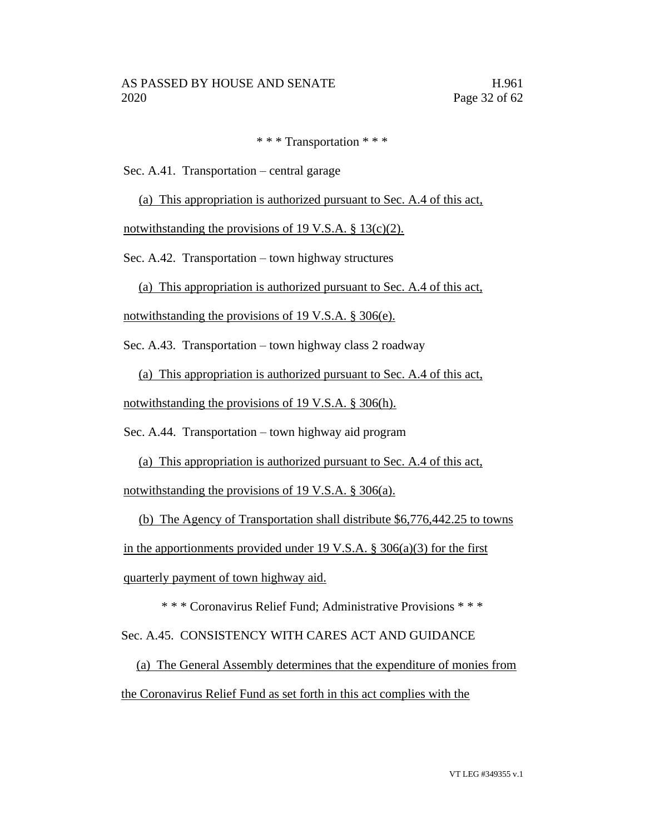\* \* \* Transportation \* \* \*

Sec. A.41. Transportation – central garage

(a) This appropriation is authorized pursuant to Sec. A.4 of this act,

notwithstanding the provisions of 19 V.S.A.  $\S$  13(c)(2).

Sec. A.42. Transportation – town highway structures

(a) This appropriation is authorized pursuant to Sec. A.4 of this act,

notwithstanding the provisions of 19 V.S.A. § 306(e).

Sec. A.43. Transportation – town highway class 2 roadway

(a) This appropriation is authorized pursuant to Sec. A.4 of this act,

notwithstanding the provisions of 19 V.S.A. § 306(h).

Sec. A.44. Transportation – town highway aid program

(a) This appropriation is authorized pursuant to Sec. A.4 of this act,

notwithstanding the provisions of 19 V.S.A. § 306(a).

(b) The Agency of Transportation shall distribute \$6,776,442.25 to towns in the apportionments provided under 19 V.S.A.  $\S$  306(a)(3) for the first quarterly payment of town highway aid.

\* \* \* Coronavirus Relief Fund; Administrative Provisions \* \* \*

Sec. A.45. CONSISTENCY WITH CARES ACT AND GUIDANCE

(a) The General Assembly determines that the expenditure of monies from the Coronavirus Relief Fund as set forth in this act complies with the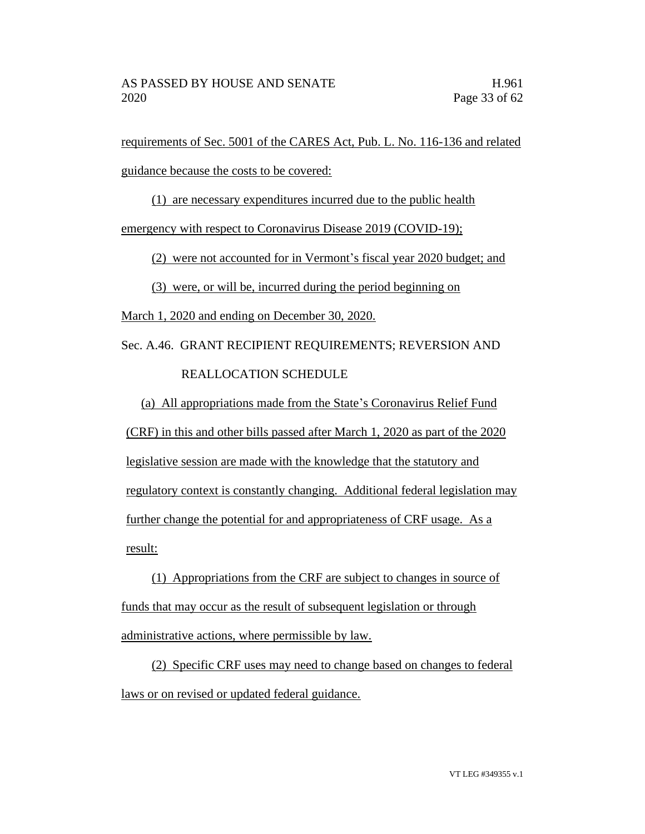requirements of Sec. 5001 of the CARES Act, Pub. L. No. 116-136 and related guidance because the costs to be covered:

(1) are necessary expenditures incurred due to the public health

emergency with respect to Coronavirus Disease 2019 (COVID-19);

(2) were not accounted for in Vermont's fiscal year 2020 budget; and

(3) were, or will be, incurred during the period beginning on

March 1, 2020 and ending on December 30, 2020.

Sec. A.46. GRANT RECIPIENT REQUIREMENTS; REVERSION AND REALLOCATION SCHEDULE

(a) All appropriations made from the State's Coronavirus Relief Fund

(CRF) in this and other bills passed after March 1, 2020 as part of the 2020

legislative session are made with the knowledge that the statutory and

regulatory context is constantly changing. Additional federal legislation may

further change the potential for and appropriateness of CRF usage. As a result:

(1) Appropriations from the CRF are subject to changes in source of funds that may occur as the result of subsequent legislation or through administrative actions, where permissible by law.

(2) Specific CRF uses may need to change based on changes to federal laws or on revised or updated federal guidance.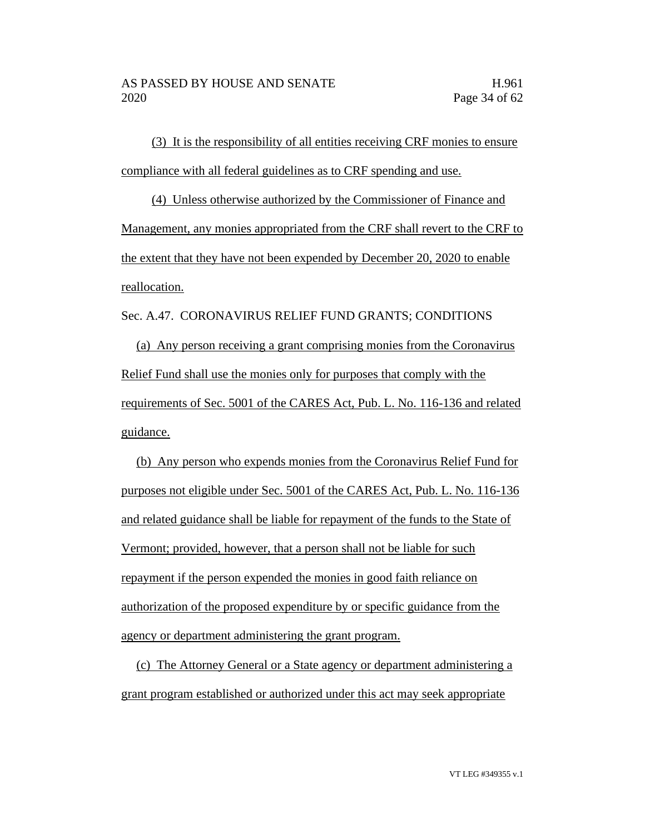(3) It is the responsibility of all entities receiving CRF monies to ensure compliance with all federal guidelines as to CRF spending and use.

(4) Unless otherwise authorized by the Commissioner of Finance and Management, any monies appropriated from the CRF shall revert to the CRF to the extent that they have not been expended by December 20, 2020 to enable reallocation.

Sec. A.47. CORONAVIRUS RELIEF FUND GRANTS; CONDITIONS

(a) Any person receiving a grant comprising monies from the Coronavirus Relief Fund shall use the monies only for purposes that comply with the requirements of Sec. 5001 of the CARES Act, Pub. L. No. 116-136 and related guidance.

(b) Any person who expends monies from the Coronavirus Relief Fund for purposes not eligible under Sec. 5001 of the CARES Act, Pub. L. No. 116-136 and related guidance shall be liable for repayment of the funds to the State of Vermont; provided, however, that a person shall not be liable for such repayment if the person expended the monies in good faith reliance on authorization of the proposed expenditure by or specific guidance from the agency or department administering the grant program.

(c) The Attorney General or a State agency or department administering a grant program established or authorized under this act may seek appropriate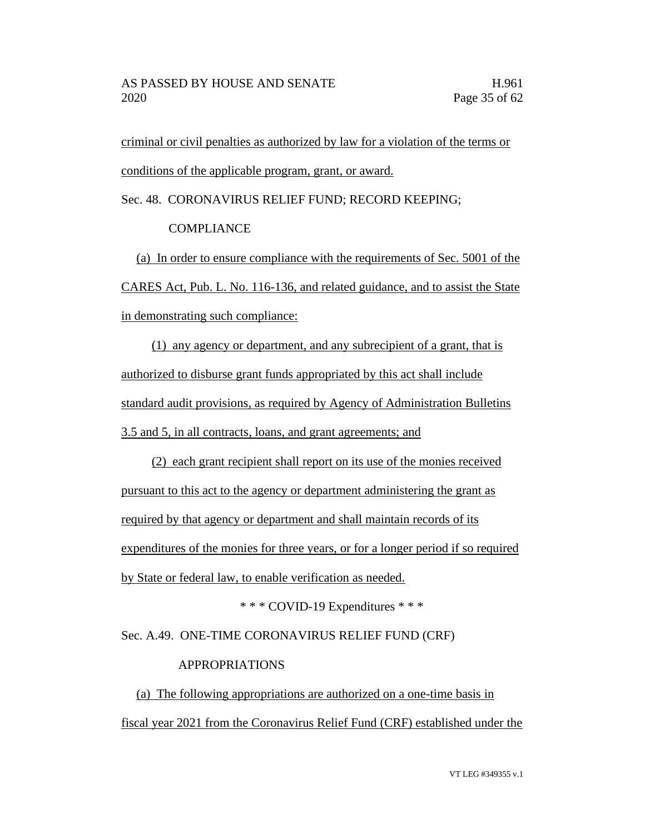criminal or civil penalties as authorized by law for a violation of the terms or conditions of the applicable program, grant, or award.

Sec. 48. CORONAVIRUS RELIEF FUND; RECORD KEEPING;

COMPLIANCE

(a) In order to ensure compliance with the requirements of Sec. 5001 of the CARES Act, Pub. L. No. 116-136, and related guidance, and to assist the State in demonstrating such compliance:

(1) any agency or department, and any subrecipient of a grant, that is authorized to disburse grant funds appropriated by this act shall include standard audit provisions, as required by Agency of Administration Bulletins 3.5 and 5, in all contracts, loans, and grant agreements; and

(2) each grant recipient shall report on its use of the monies received pursuant to this act to the agency or department administering the grant as required by that agency or department and shall maintain records of its expenditures of the monies for three years, or for a longer period if so required by State or federal law, to enable verification as needed.

\* \* \* COVID-19 Expenditures \* \* \*

Sec. A.49. ONE-TIME CORONAVIRUS RELIEF FUND (CRF)

## APPROPRIATIONS

(a) The following appropriations are authorized on a one-time basis in fiscal year 2021 from the Coronavirus Relief Fund (CRF) established under the

VT LEG #349355 v.1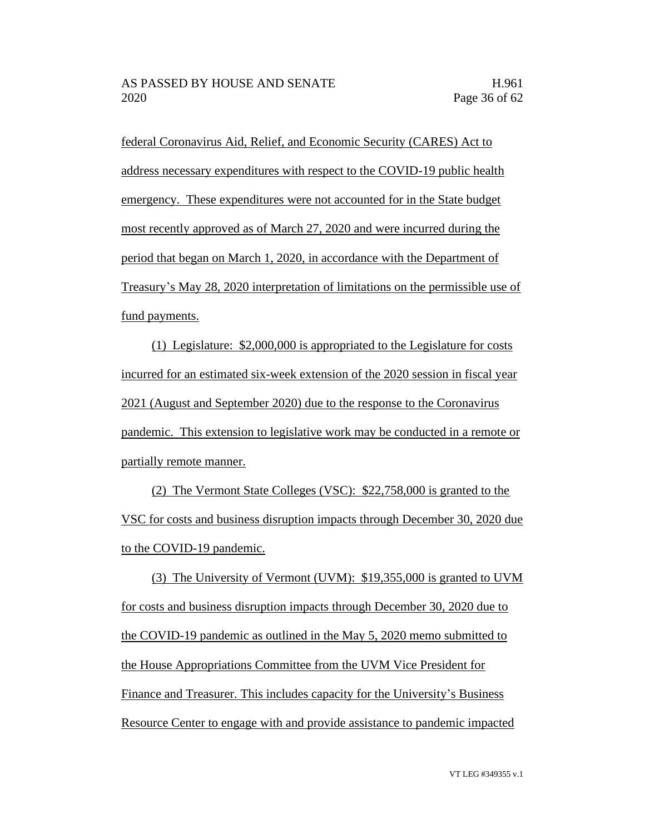federal Coronavirus Aid, Relief, and Economic Security (CARES) Act to address necessary expenditures with respect to the COVID-19 public health emergency. These expenditures were not accounted for in the State budget most recently approved as of March 27, 2020 and were incurred during the period that began on March 1, 2020, in accordance with the Department of Treasury's May 28, 2020 interpretation of limitations on the permissible use of fund payments.

(1) Legislature: \$2,000,000 is appropriated to the Legislature for costs incurred for an estimated six-week extension of the 2020 session in fiscal year 2021 (August and September 2020) due to the response to the Coronavirus pandemic. This extension to legislative work may be conducted in a remote or partially remote manner.

(2) The Vermont State Colleges (VSC): \$22,758,000 is granted to the VSC for costs and business disruption impacts through December 30, 2020 due to the COVID-19 pandemic.

(3) The University of Vermont (UVM): \$19,355,000 is granted to UVM for costs and business disruption impacts through December 30, 2020 due to the COVID-19 pandemic as outlined in the May 5, 2020 memo submitted to the House Appropriations Committee from the UVM Vice President for Finance and Treasurer. This includes capacity for the University's Business Resource Center to engage with and provide assistance to pandemic impacted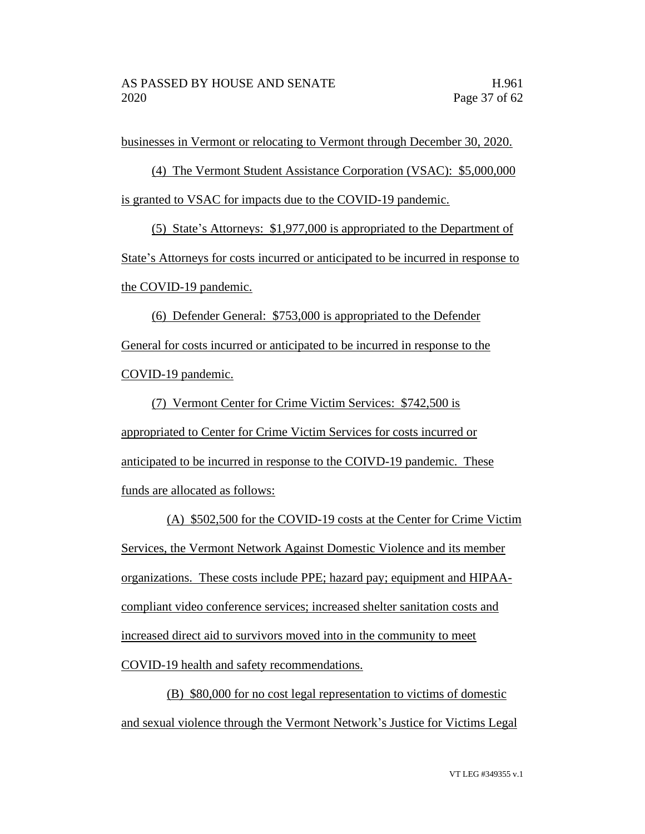businesses in Vermont or relocating to Vermont through December 30, 2020.

(4) The Vermont Student Assistance Corporation (VSAC): \$5,000,000 is granted to VSAC for impacts due to the COVID-19 pandemic.

(5) State's Attorneys: \$1,977,000 is appropriated to the Department of State's Attorneys for costs incurred or anticipated to be incurred in response to the COVID-19 pandemic.

(6) Defender General: \$753,000 is appropriated to the Defender General for costs incurred or anticipated to be incurred in response to the COVID-19 pandemic.

(7) Vermont Center for Crime Victim Services: \$742,500 is appropriated to Center for Crime Victim Services for costs incurred or anticipated to be incurred in response to the COIVD-19 pandemic. These funds are allocated as follows:

(A) \$502,500 for the COVID-19 costs at the Center for Crime Victim Services, the Vermont Network Against Domestic Violence and its member organizations. These costs include PPE; hazard pay; equipment and HIPAAcompliant video conference services; increased shelter sanitation costs and increased direct aid to survivors moved into in the community to meet COVID-19 health and safety recommendations.

(B) \$80,000 for no cost legal representation to victims of domestic and sexual violence through the Vermont Network's Justice for Victims Legal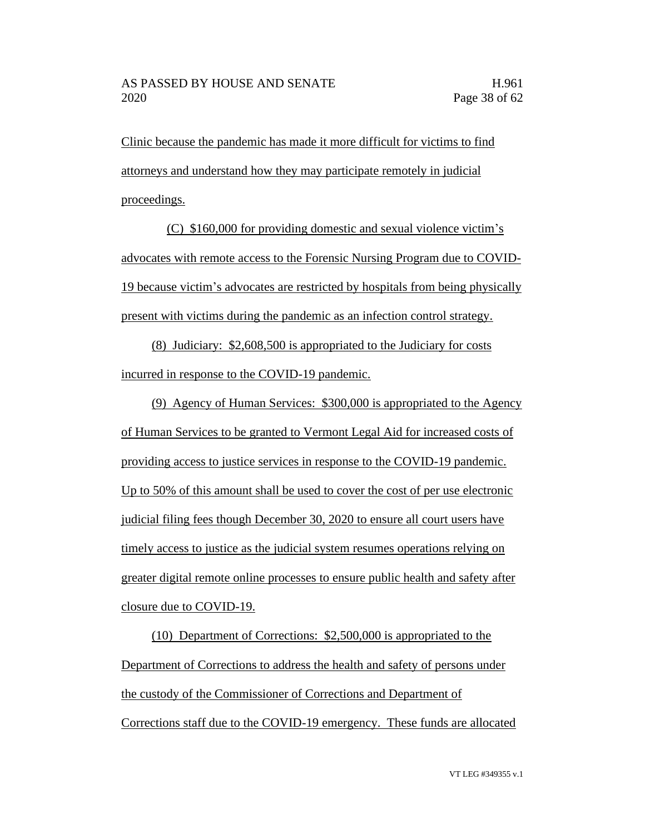Clinic because the pandemic has made it more difficult for victims to find attorneys and understand how they may participate remotely in judicial proceedings.

(C) \$160,000 for providing domestic and sexual violence victim's advocates with remote access to the Forensic Nursing Program due to COVID-19 because victim's advocates are restricted by hospitals from being physically present with victims during the pandemic as an infection control strategy.

(8) Judiciary: \$2,608,500 is appropriated to the Judiciary for costs incurred in response to the COVID-19 pandemic.

(9) Agency of Human Services: \$300,000 is appropriated to the Agency of Human Services to be granted to Vermont Legal Aid for increased costs of providing access to justice services in response to the COVID-19 pandemic. Up to 50% of this amount shall be used to cover the cost of per use electronic judicial filing fees though December 30, 2020 to ensure all court users have timely access to justice as the judicial system resumes operations relying on greater digital remote online processes to ensure public health and safety after closure due to COVID-19.

(10) Department of Corrections: \$2,500,000 is appropriated to the Department of Corrections to address the health and safety of persons under the custody of the Commissioner of Corrections and Department of Corrections staff due to the COVID-19 emergency. These funds are allocated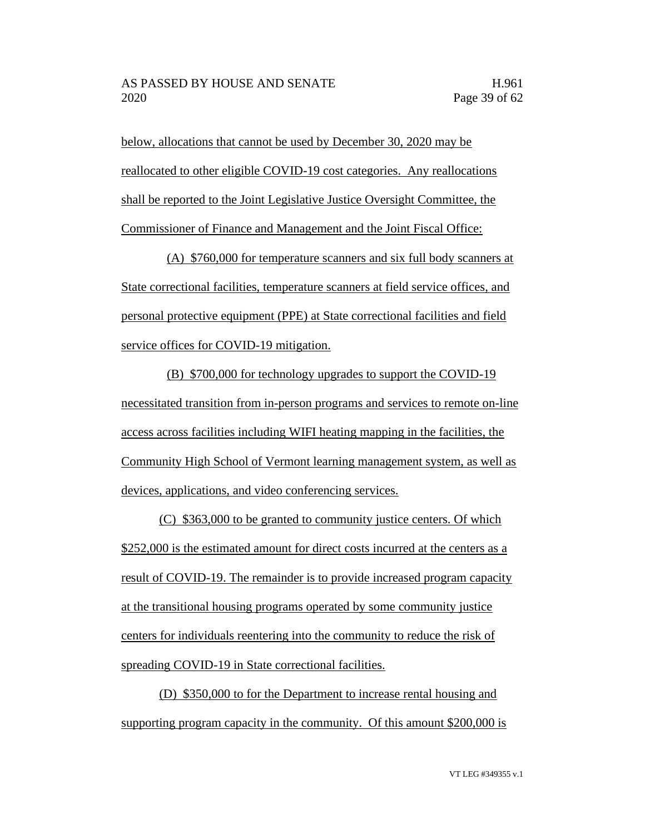below, allocations that cannot be used by December 30, 2020 may be reallocated to other eligible COVID-19 cost categories. Any reallocations shall be reported to the Joint Legislative Justice Oversight Committee, the Commissioner of Finance and Management and the Joint Fiscal Office:

(A) \$760,000 for temperature scanners and six full body scanners at State correctional facilities, temperature scanners at field service offices, and personal protective equipment (PPE) at State correctional facilities and field service offices for COVID-19 mitigation.

(B) \$700,000 for technology upgrades to support the COVID-19 necessitated transition from in-person programs and services to remote on-line access across facilities including WIFI heating mapping in the facilities, the Community High School of Vermont learning management system, as well as devices, applications, and video conferencing services.

(C) \$363,000 to be granted to community justice centers. Of which \$252,000 is the estimated amount for direct costs incurred at the centers as a result of COVID-19. The remainder is to provide increased program capacity at the transitional housing programs operated by some community justice centers for individuals reentering into the community to reduce the risk of spreading COVID-19 in State correctional facilities.

(D) \$350,000 to for the Department to increase rental housing and supporting program capacity in the community. Of this amount \$200,000 is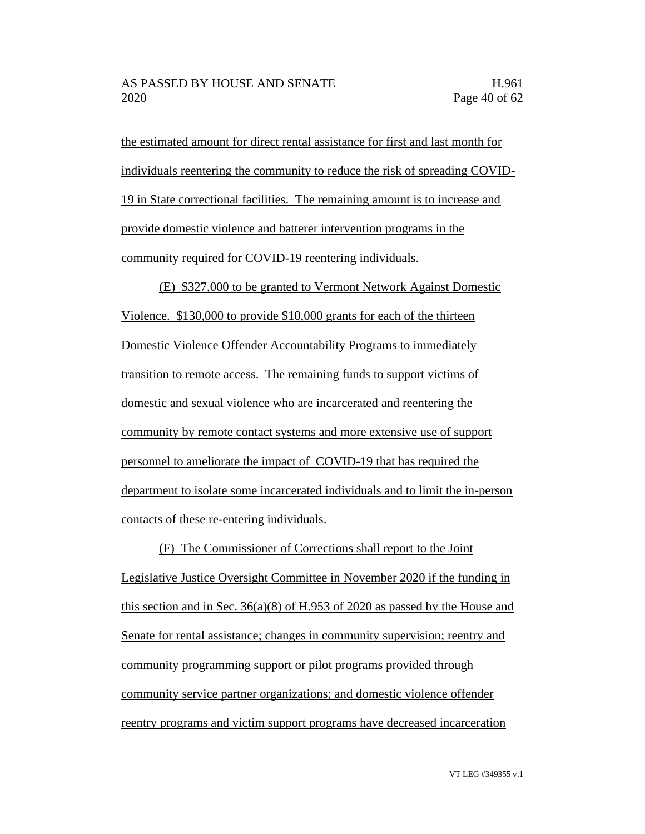the estimated amount for direct rental assistance for first and last month for individuals reentering the community to reduce the risk of spreading COVID-19 in State correctional facilities. The remaining amount is to increase and provide domestic violence and batterer intervention programs in the community required for COVID-19 reentering individuals.

(E) \$327,000 to be granted to Vermont Network Against Domestic Violence. \$130,000 to provide \$10,000 grants for each of the thirteen Domestic Violence Offender Accountability Programs to immediately transition to remote access. The remaining funds to support victims of domestic and sexual violence who are incarcerated and reentering the community by remote contact systems and more extensive use of support personnel to ameliorate the impact of COVID-19 that has required the department to isolate some incarcerated individuals and to limit the in-person contacts of these re-entering individuals.

(F) The Commissioner of Corrections shall report to the Joint Legislative Justice Oversight Committee in November 2020 if the funding in this section and in Sec. 36(a)(8) of H.953 of 2020 as passed by the House and Senate for rental assistance; changes in community supervision; reentry and community programming support or pilot programs provided through community service partner organizations; and domestic violence offender reentry programs and victim support programs have decreased incarceration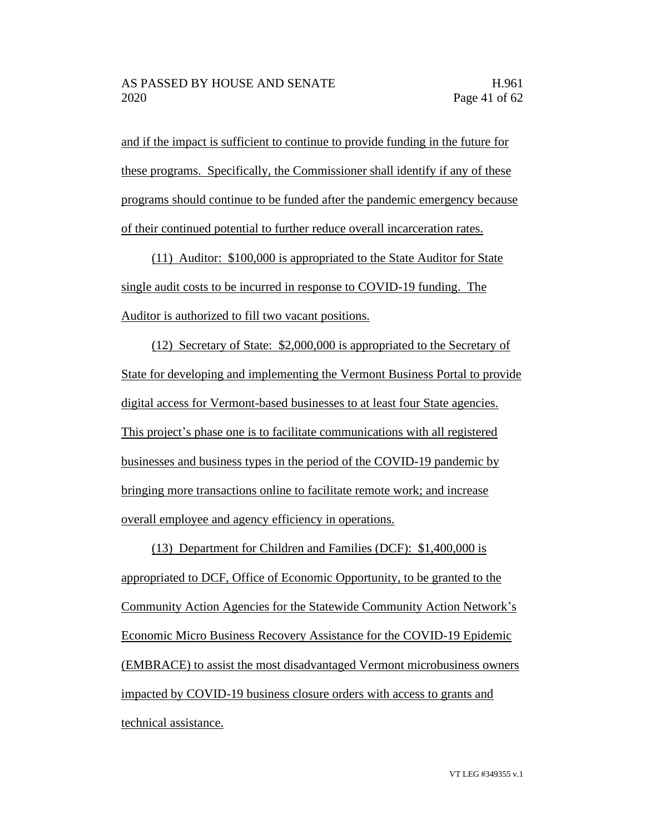and if the impact is sufficient to continue to provide funding in the future for these programs. Specifically, the Commissioner shall identify if any of these programs should continue to be funded after the pandemic emergency because of their continued potential to further reduce overall incarceration rates.

(11) Auditor: \$100,000 is appropriated to the State Auditor for State single audit costs to be incurred in response to COVID-19 funding. The Auditor is authorized to fill two vacant positions.

(12) Secretary of State: \$2,000,000 is appropriated to the Secretary of State for developing and implementing the Vermont Business Portal to provide digital access for Vermont-based businesses to at least four State agencies. This project's phase one is to facilitate communications with all registered businesses and business types in the period of the COVID-19 pandemic by bringing more transactions online to facilitate remote work; and increase overall employee and agency efficiency in operations.

(13) Department for Children and Families (DCF): \$1,400,000 is appropriated to DCF, Office of Economic Opportunity, to be granted to the Community Action Agencies for the Statewide Community Action Network's Economic Micro Business Recovery Assistance for the COVID-19 Epidemic (EMBRACE) to assist the most disadvantaged Vermont microbusiness owners impacted by COVID-19 business closure orders with access to grants and technical assistance.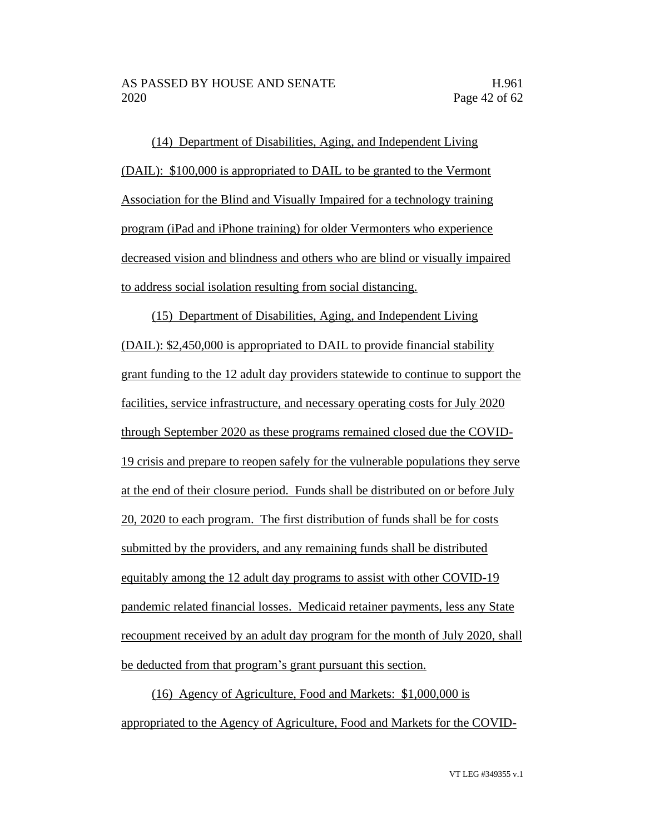(14) Department of Disabilities, Aging, and Independent Living (DAIL): \$100,000 is appropriated to DAIL to be granted to the Vermont Association for the Blind and Visually Impaired for a technology training program (iPad and iPhone training) for older Vermonters who experience decreased vision and blindness and others who are blind or visually impaired to address social isolation resulting from social distancing.

(15) Department of Disabilities, Aging, and Independent Living (DAIL): \$2,450,000 is appropriated to DAIL to provide financial stability grant funding to the 12 adult day providers statewide to continue to support the facilities, service infrastructure, and necessary operating costs for July 2020 through September 2020 as these programs remained closed due the COVID-19 crisis and prepare to reopen safely for the vulnerable populations they serve at the end of their closure period. Funds shall be distributed on or [before July](x-apple-data-detectors://1/)  [20, 2020](x-apple-data-detectors://1/) to each program. The first distribution of funds shall be for costs submitted by the providers, and any remaining funds shall be distributed equitably among the 12 adult day programs to assist with other COVID-19 pandemic related financial losses. Medicaid retainer payments, less any State recoupment received by an adult day program for the month of July 2020, shall be deducted from that program's grant pursuant this section.

(16) Agency of Agriculture, Food and Markets: \$1,000,000 is appropriated to the Agency of Agriculture, Food and Markets for the COVID-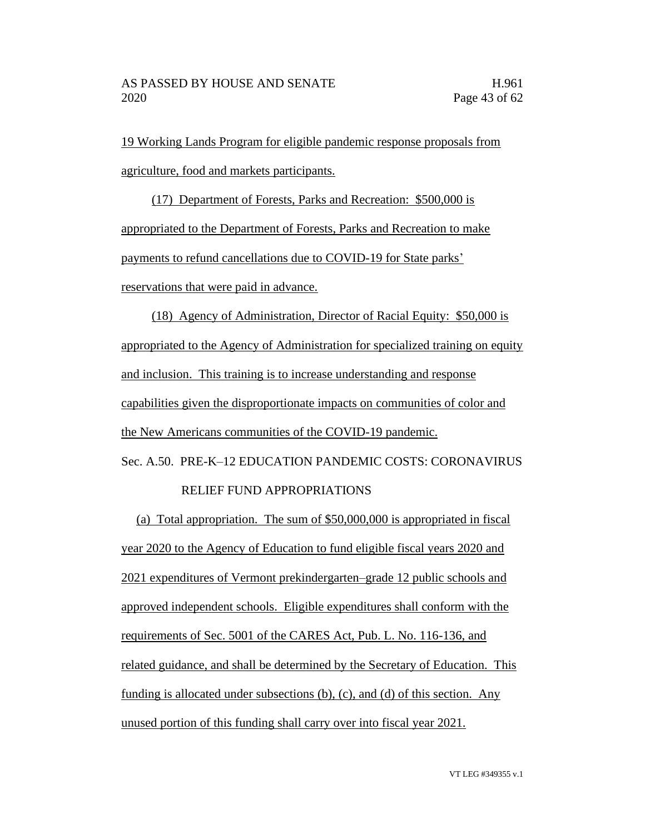19 Working Lands Program for eligible pandemic response proposals from agriculture, food and markets participants.

(17) Department of Forests, Parks and Recreation: \$500,000 is appropriated to the Department of Forests, Parks and Recreation to make payments to refund cancellations due to COVID-19 for State parks' reservations that were paid in advance.

(18) Agency of Administration, Director of Racial Equity: \$50,000 is appropriated to the Agency of Administration for specialized training on equity and inclusion. This training is to increase understanding and response capabilities given the disproportionate impacts on communities of color and the New Americans communities of the COVID-19 pandemic. Sec. A.50. PRE-K–12 EDUCATION PANDEMIC COSTS: CORONAVIRUS

## RELIEF FUND APPROPRIATIONS

(a) Total appropriation. The sum of \$50,000,000 is appropriated in fiscal year 2020 to the Agency of Education to fund eligible fiscal years 2020 and 2021 expenditures of Vermont prekindergarten–grade 12 public schools and approved independent schools. Eligible expenditures shall conform with the requirements of Sec. 5001 of the CARES Act, Pub. L. No. 116-136, and related guidance, and shall be determined by the Secretary of Education. This funding is allocated under subsections (b), (c), and (d) of this section. Any unused portion of this funding shall carry over into fiscal year 2021.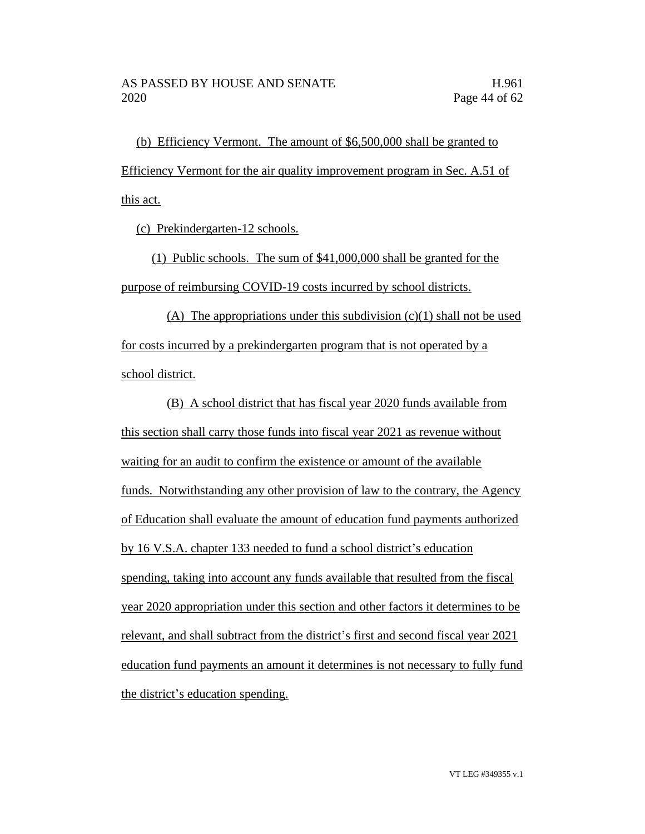(b) Efficiency Vermont. The amount of \$6,500,000 shall be granted to Efficiency Vermont for the air quality improvement program in Sec. A.51 of this act.

(c) Prekindergarten-12 schools.

(1) Public schools. The sum of \$41,000,000 shall be granted for the purpose of reimbursing COVID-19 costs incurred by school districts.

(A) The appropriations under this subdivision  $(c)(1)$  shall not be used for costs incurred by a prekindergarten program that is not operated by a school district.

(B) A school district that has fiscal year 2020 funds available from this section shall carry those funds into fiscal year 2021 as revenue without waiting for an audit to confirm the existence or amount of the available funds. Notwithstanding any other provision of law to the contrary, the Agency of Education shall evaluate the amount of education fund payments authorized by 16 V.S.A. chapter 133 needed to fund a school district's education spending, taking into account any funds available that resulted from the fiscal year 2020 appropriation under this section and other factors it determines to be relevant, and shall subtract from the district's first and second fiscal year 2021 education fund payments an amount it determines is not necessary to fully fund the district's education spending.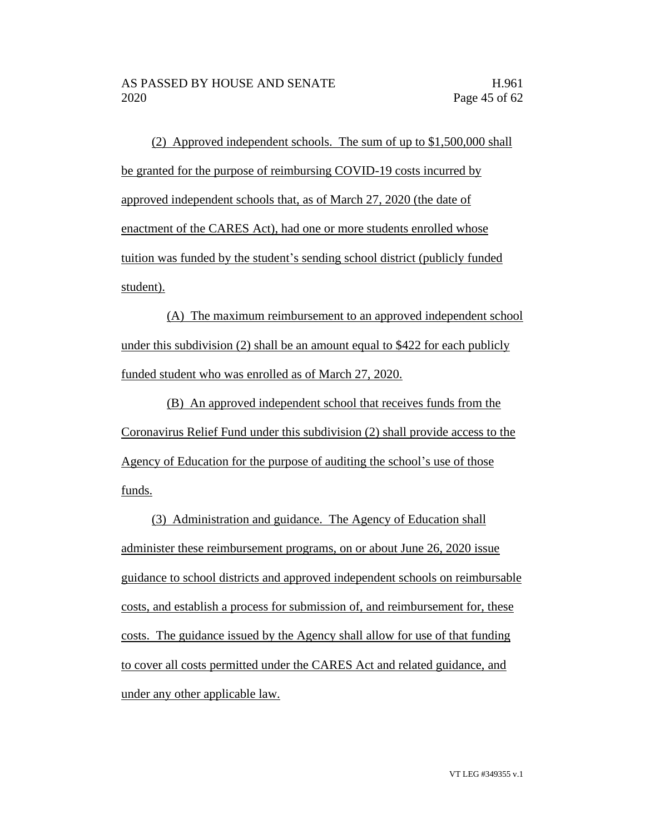(2) Approved independent schools. The sum of up to \$1,500,000 shall be granted for the purpose of reimbursing COVID-19 costs incurred by approved independent schools that, as of March 27, 2020 (the date of enactment of the CARES Act), had one or more students enrolled whose tuition was funded by the student's sending school district (publicly funded student).

(A) The maximum reimbursement to an approved independent school under this subdivision (2) shall be an amount equal to \$422 for each publicly funded student who was enrolled as of March 27, 2020.

(B) An approved independent school that receives funds from the Coronavirus Relief Fund under this subdivision (2) shall provide access to the Agency of Education for the purpose of auditing the school's use of those funds.

(3) Administration and guidance. The Agency of Education shall administer these reimbursement programs, on or about June 26, 2020 issue guidance to school districts and approved independent schools on reimbursable costs, and establish a process for submission of, and reimbursement for, these costs. The guidance issued by the Agency shall allow for use of that funding to cover all costs permitted under the CARES Act and related guidance, and under any other applicable law.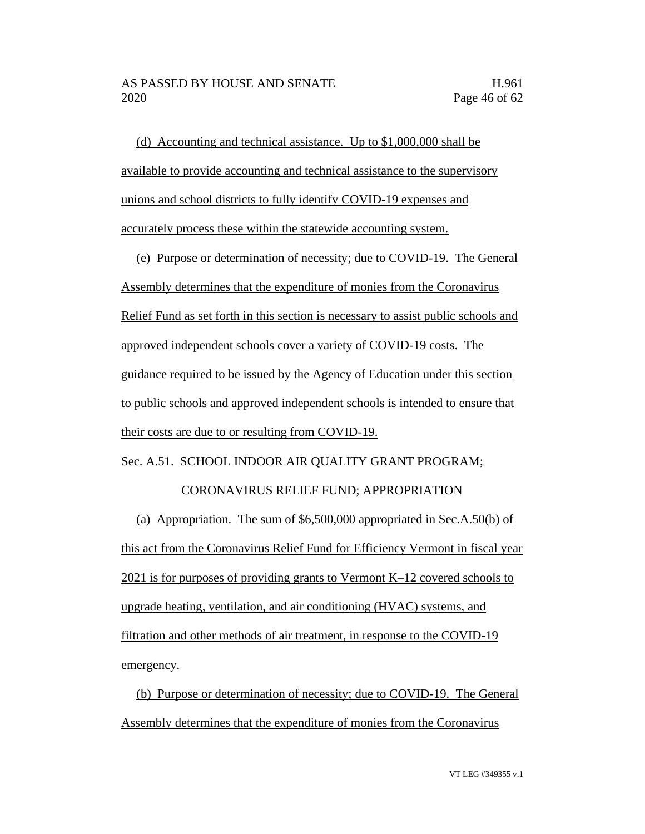(d) Accounting and technical assistance. Up to \$1,000,000 shall be available to provide accounting and technical assistance to the supervisory unions and school districts to fully identify COVID-19 expenses and accurately process these within the statewide accounting system.

(e) Purpose or determination of necessity; due to COVID-19. The General Assembly determines that the expenditure of monies from the Coronavirus Relief Fund as set forth in this section is necessary to assist public schools and approved independent schools cover a variety of COVID-19 costs. The guidance required to be issued by the Agency of Education under this section to public schools and approved independent schools is intended to ensure that their costs are due to or resulting from COVID-19.

Sec. A.51. SCHOOL INDOOR AIR QUALITY GRANT PROGRAM;

#### CORONAVIRUS RELIEF FUND; APPROPRIATION

(a) Appropriation. The sum of \$6,500,000 appropriated in Sec.A.50(b) of this act from the Coronavirus Relief Fund for Efficiency Vermont in fiscal year 2021 is for purposes of providing grants to Vermont K–12 covered schools to upgrade heating, ventilation, and air conditioning (HVAC) systems, and filtration and other methods of air treatment, in response to the COVID-19 emergency.

(b) Purpose or determination of necessity; due to COVID-19. The General Assembly determines that the expenditure of monies from the Coronavirus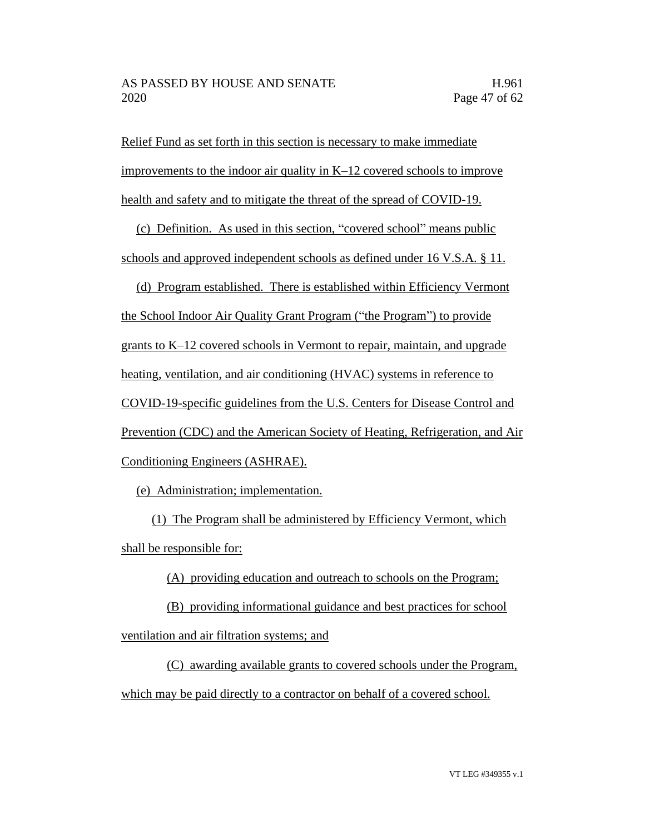Relief Fund as set forth in this section is necessary to make immediate improvements to the indoor air quality in K–12 covered schools to improve health and safety and to mitigate the threat of the spread of COVID-19.

(c) Definition. As used in this section, "covered school" means public schools and approved independent schools as defined under 16 V.S.A. § 11.

(d) Program established. There is established within Efficiency Vermont the School Indoor Air Quality Grant Program ("the Program") to provide grants to K–12 covered schools in Vermont to repair, maintain, and upgrade heating, ventilation, and air conditioning (HVAC) systems in reference to COVID-19-specific guidelines from the U.S. Centers for Disease Control and Prevention (CDC) and the American Society of Heating, Refrigeration, and Air Conditioning Engineers (ASHRAE).

(e) Administration; implementation.

(1) The Program shall be administered by Efficiency Vermont, which shall be responsible for:

(A) providing education and outreach to schools on the Program;

(B) providing informational guidance and best practices for school ventilation and air filtration systems; and

(C) awarding available grants to covered schools under the Program, which may be paid directly to a contractor on behalf of a covered school.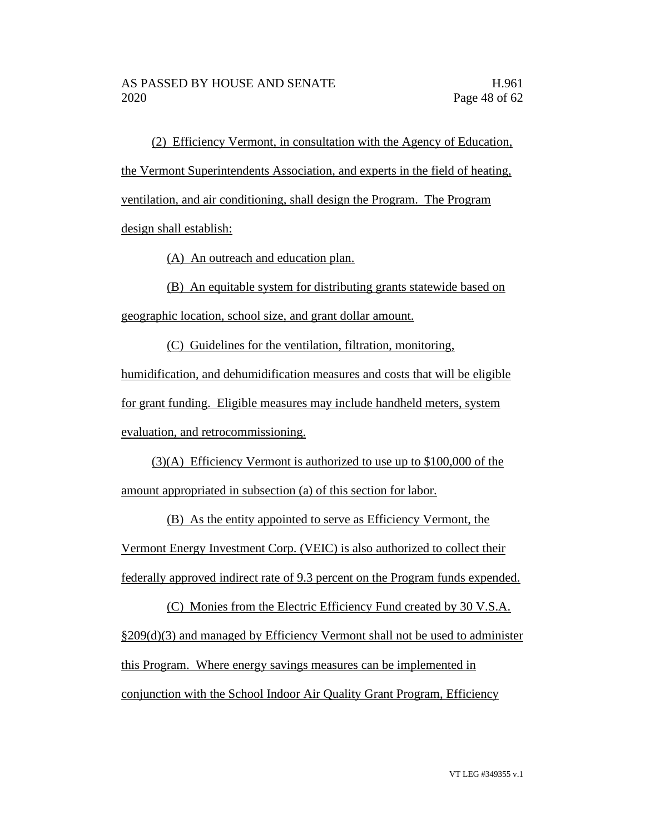(2) Efficiency Vermont, in consultation with the Agency of Education, the Vermont Superintendents Association, and experts in the field of heating, ventilation, and air conditioning, shall design the Program. The Program design shall establish:

(A) An outreach and education plan.

(B) An equitable system for distributing grants statewide based on geographic location, school size, and grant dollar amount.

(C) Guidelines for the ventilation, filtration, monitoring, humidification, and dehumidification measures and costs that will be eligible for grant funding. Eligible measures may include handheld meters, system evaluation, and retrocommissioning.

(3)(A) Efficiency Vermont is authorized to use up to \$100,000 of the amount appropriated in subsection (a) of this section for labor.

(B) As the entity appointed to serve as Efficiency Vermont, the Vermont Energy Investment Corp. (VEIC) is also authorized to collect their federally approved indirect rate of 9.3 percent on the Program funds expended.

(C) Monies from the Electric Efficiency Fund created by 30 V.S.A. §209(d)(3) and managed by Efficiency Vermont shall not be used to administer this Program. Where energy savings measures can be implemented in conjunction with the School Indoor Air Quality Grant Program, Efficiency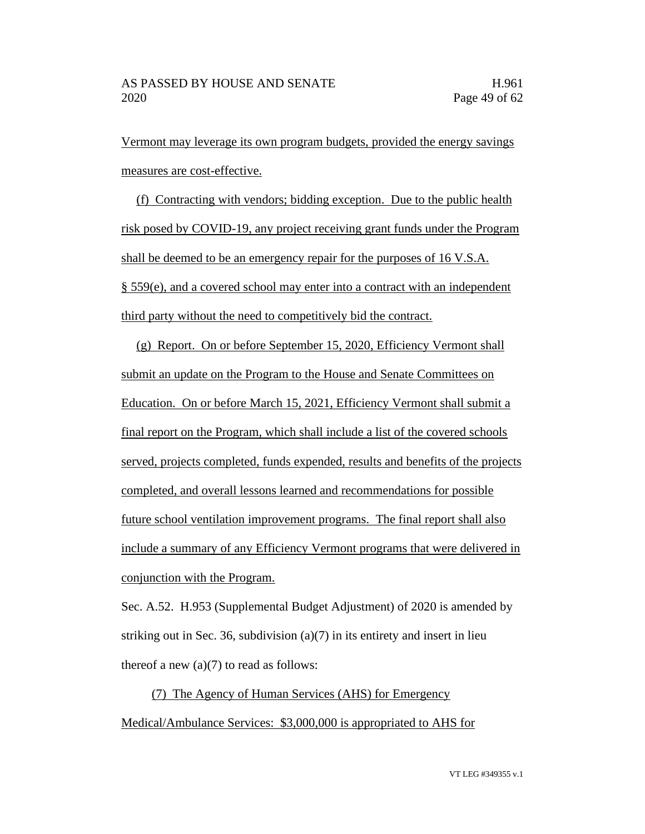Vermont may leverage its own program budgets, provided the energy savings measures are cost-effective.

(f) Contracting with vendors; bidding exception. Due to the public health risk posed by COVID-19, any project receiving grant funds under the Program shall be deemed to be an emergency repair for the purposes of 16 V.S.A. § 559(e), and a covered school may enter into a contract with an independent third party without the need to competitively bid the contract.

(g) Report. On or before September 15, 2020, Efficiency Vermont shall submit an update on the Program to the House and Senate Committees on Education. On or before March 15, 2021, Efficiency Vermont shall submit a final report on the Program, which shall include a list of the covered schools served, projects completed, funds expended, results and benefits of the projects completed, and overall lessons learned and recommendations for possible future school ventilation improvement programs. The final report shall also include a summary of any Efficiency Vermont programs that were delivered in conjunction with the Program.

Sec. A.52. H.953 (Supplemental Budget Adjustment) of 2020 is amended by striking out in Sec. 36, subdivision (a)(7) in its entirety and insert in lieu thereof a new  $(a)(7)$  to read as follows:

(7) The Agency of Human Services (AHS) for Emergency Medical/Ambulance Services: \$3,000,000 is appropriated to AHS for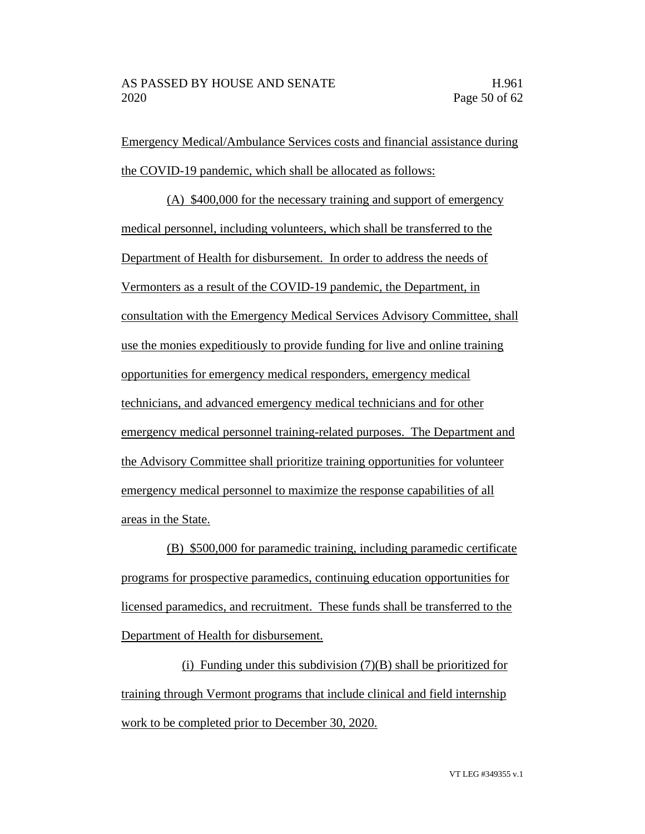Emergency Medical/Ambulance Services costs and financial assistance during the COVID-19 pandemic, which shall be allocated as follows:

(A) \$400,000 for the necessary training and support of emergency medical personnel, including volunteers, which shall be transferred to the Department of Health for disbursement. In order to address the needs of Vermonters as a result of the COVID-19 pandemic, the Department, in consultation with the Emergency Medical Services Advisory Committee, shall use the monies expeditiously to provide funding for live and online training opportunities for emergency medical responders, emergency medical technicians, and advanced emergency medical technicians and for other emergency medical personnel training-related purposes. The Department and the Advisory Committee shall prioritize training opportunities for volunteer emergency medical personnel to maximize the response capabilities of all areas in the State.

(B) \$500,000 for paramedic training, including paramedic certificate programs for prospective paramedics, continuing education opportunities for licensed paramedics, and recruitment. These funds shall be transferred to the Department of Health for disbursement.

(i) Funding under this subdivision  $(7)(B)$  shall be prioritized for training through Vermont programs that include clinical and field internship work to be completed prior to December 30, 2020.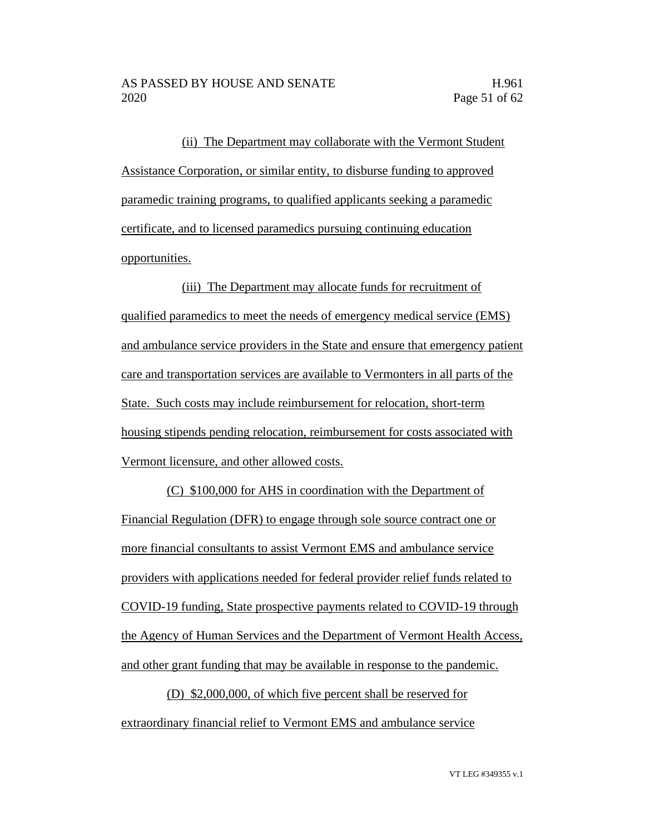(ii) The Department may collaborate with the Vermont Student Assistance Corporation, or similar entity, to disburse funding to approved paramedic training programs, to qualified applicants seeking a paramedic certificate, and to licensed paramedics pursuing continuing education opportunities.

(iii) The Department may allocate funds for recruitment of qualified paramedics to meet the needs of emergency medical service (EMS) and ambulance service providers in the State and ensure that emergency patient care and transportation services are available to Vermonters in all parts of the State. Such costs may include reimbursement for relocation, short-term housing stipends pending relocation, reimbursement for costs associated with Vermont licensure, and other allowed costs.

(C) \$100,000 for AHS in coordination with the Department of Financial Regulation (DFR) to engage through sole source contract one or more financial consultants to assist Vermont EMS and ambulance service providers with applications needed for federal provider relief funds related to COVID-19 funding, State prospective payments related to COVID-19 through the Agency of Human Services and the Department of Vermont Health Access, and other grant funding that may be available in response to the pandemic.

(D) \$2,000,000, of which five percent shall be reserved for extraordinary financial relief to Vermont EMS and ambulance service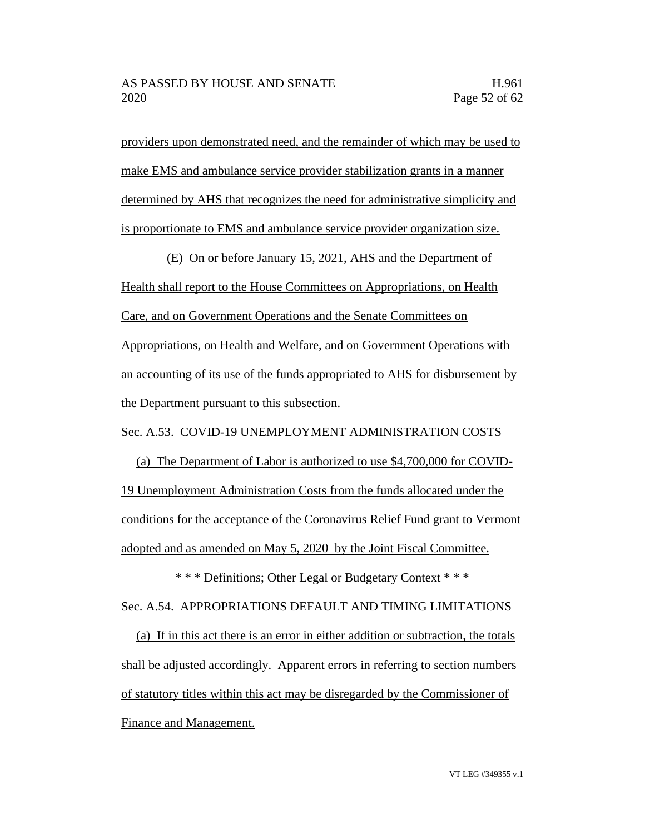providers upon demonstrated need, and the remainder of which may be used to make EMS and ambulance service provider stabilization grants in a manner determined by AHS that recognizes the need for administrative simplicity and is proportionate to EMS and ambulance service provider organization size.

(E) On or before January 15, 2021, AHS and the Department of Health shall report to the House Committees on Appropriations, on Health Care, and on Government Operations and the Senate Committees on Appropriations, on Health and Welfare, and on Government Operations with an accounting of its use of the funds appropriated to AHS for disbursement by the Department pursuant to this subsection.

Sec. A.53. COVID-19 UNEMPLOYMENT ADMINISTRATION COSTS

(a) The Department of Labor is authorized to use \$4,700,000 for COVID-19 Unemployment Administration Costs from the funds allocated under the conditions for the acceptance of the Coronavirus Relief Fund grant to Vermont adopted and as amended on May 5, 2020 by the Joint Fiscal Committee.

\* \* \* Definitions; Other Legal or Budgetary Context \* \* \* Sec. A.54. APPROPRIATIONS DEFAULT AND TIMING LIMITATIONS

(a) If in this act there is an error in either addition or subtraction, the totals shall be adjusted accordingly. Apparent errors in referring to section numbers of statutory titles within this act may be disregarded by the Commissioner of Finance and Management.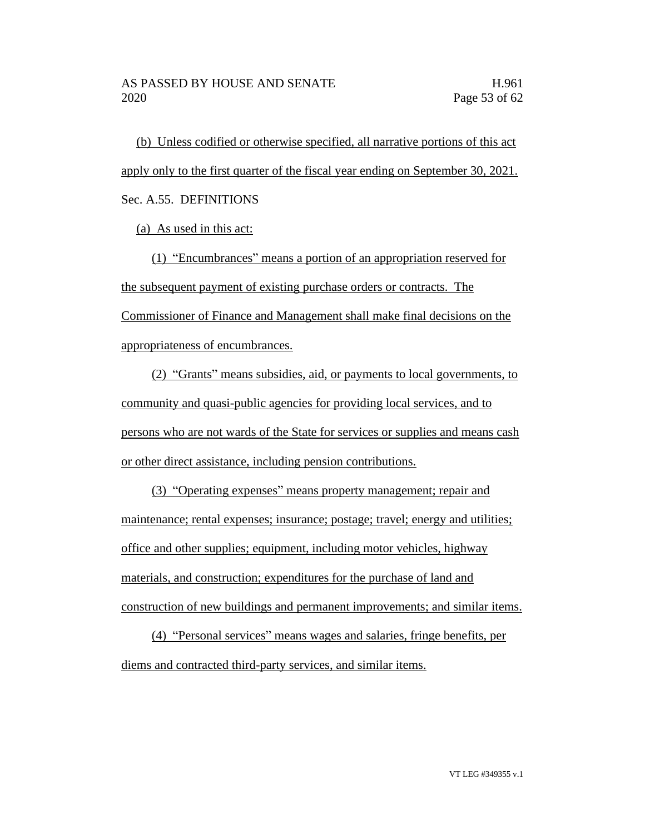(b) Unless codified or otherwise specified, all narrative portions of this act apply only to the first quarter of the fiscal year ending on September 30, 2021. Sec. A.55. DEFINITIONS

(a) As used in this act:

(1) "Encumbrances" means a portion of an appropriation reserved for the subsequent payment of existing purchase orders or contracts. The Commissioner of Finance and Management shall make final decisions on the appropriateness of encumbrances.

(2) "Grants" means subsidies, aid, or payments to local governments, to community and quasi-public agencies for providing local services, and to persons who are not wards of the State for services or supplies and means cash or other direct assistance, including pension contributions.

(3) "Operating expenses" means property management; repair and maintenance; rental expenses; insurance; postage; travel; energy and utilities; office and other supplies; equipment, including motor vehicles, highway materials, and construction; expenditures for the purchase of land and construction of new buildings and permanent improvements; and similar items.

(4) "Personal services" means wages and salaries, fringe benefits, per diems and contracted third-party services, and similar items.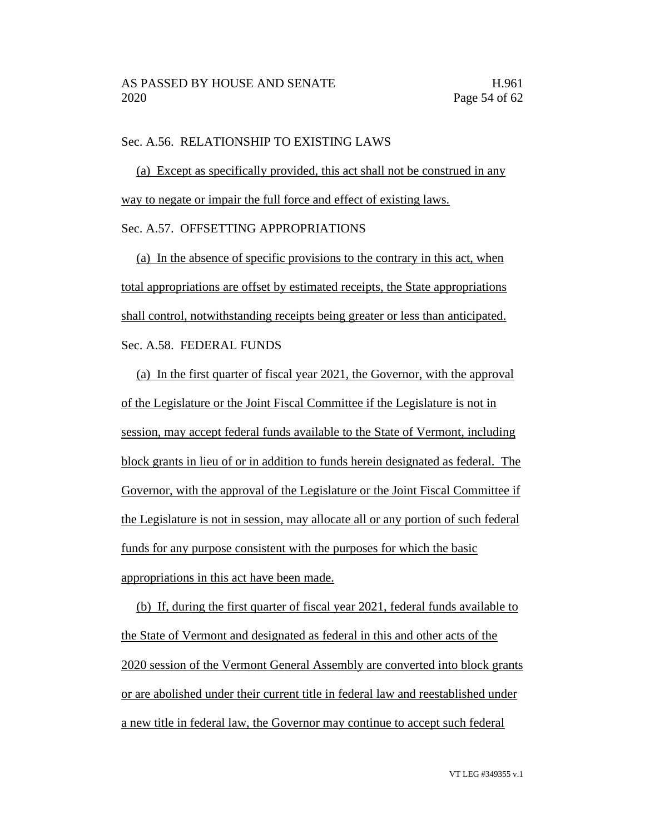## Sec. A.56. RELATIONSHIP TO EXISTING LAWS

(a) Except as specifically provided, this act shall not be construed in any way to negate or impair the full force and effect of existing laws.

#### Sec. A.57. OFFSETTING APPROPRIATIONS

(a) In the absence of specific provisions to the contrary in this act, when total appropriations are offset by estimated receipts, the State appropriations shall control, notwithstanding receipts being greater or less than anticipated. Sec. A.58. FEDERAL FUNDS

(a) In the first quarter of fiscal year 2021, the Governor, with the approval of the Legislature or the Joint Fiscal Committee if the Legislature is not in session, may accept federal funds available to the State of Vermont, including block grants in lieu of or in addition to funds herein designated as federal. The Governor, with the approval of the Legislature or the Joint Fiscal Committee if the Legislature is not in session, may allocate all or any portion of such federal funds for any purpose consistent with the purposes for which the basic appropriations in this act have been made.

(b) If, during the first quarter of fiscal year 2021, federal funds available to the State of Vermont and designated as federal in this and other acts of the 2020 session of the Vermont General Assembly are converted into block grants or are abolished under their current title in federal law and reestablished under a new title in federal law, the Governor may continue to accept such federal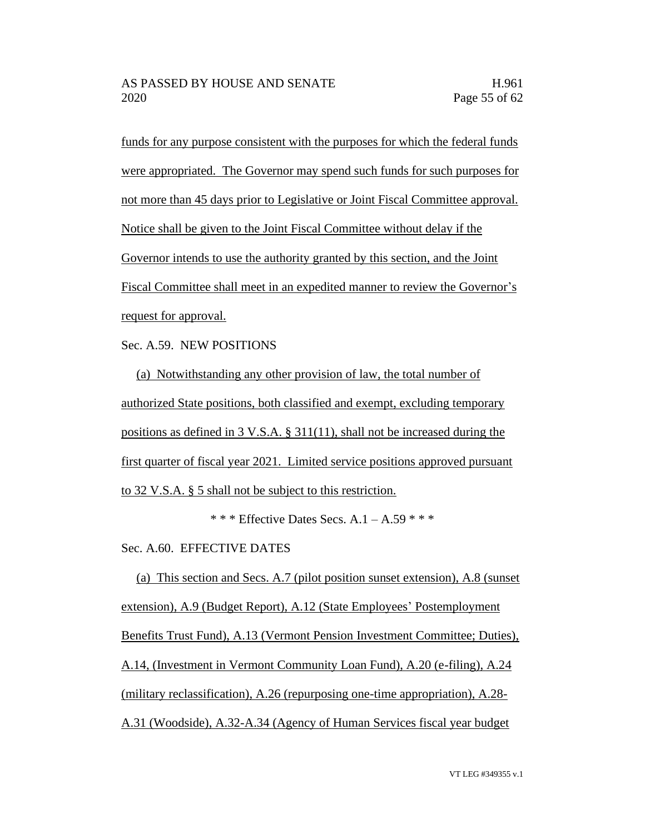funds for any purpose consistent with the purposes for which the federal funds were appropriated. The Governor may spend such funds for such purposes for not more than 45 days prior to Legislative or Joint Fiscal Committee approval. Notice shall be given to the Joint Fiscal Committee without delay if the Governor intends to use the authority granted by this section, and the Joint Fiscal Committee shall meet in an expedited manner to review the Governor's request for approval.

Sec. A.59. NEW POSITIONS

(a) Notwithstanding any other provision of law, the total number of authorized State positions, both classified and exempt, excluding temporary positions as defined in 3 V.S.A. § 311(11), shall not be increased during the first quarter of fiscal year 2021. Limited service positions approved pursuant to 32 V.S.A. § 5 shall not be subject to this restriction.

\* \* \* Effective Dates Secs.  $A.1 - A.59$  \* \* \*

Sec. A.60. EFFECTIVE DATES

(a) This section and Secs. A.7 (pilot position sunset extension), A.8 (sunset extension), A.9 (Budget Report), A.12 (State Employees' Postemployment Benefits Trust Fund), A.13 (Vermont Pension Investment Committee; Duties), A.14, (Investment in Vermont Community Loan Fund), A.20 (e-filing), A.24 (military reclassification), A.26 (repurposing one-time appropriation), A.28- A.31 (Woodside), A.32-A.34 (Agency of Human Services fiscal year budget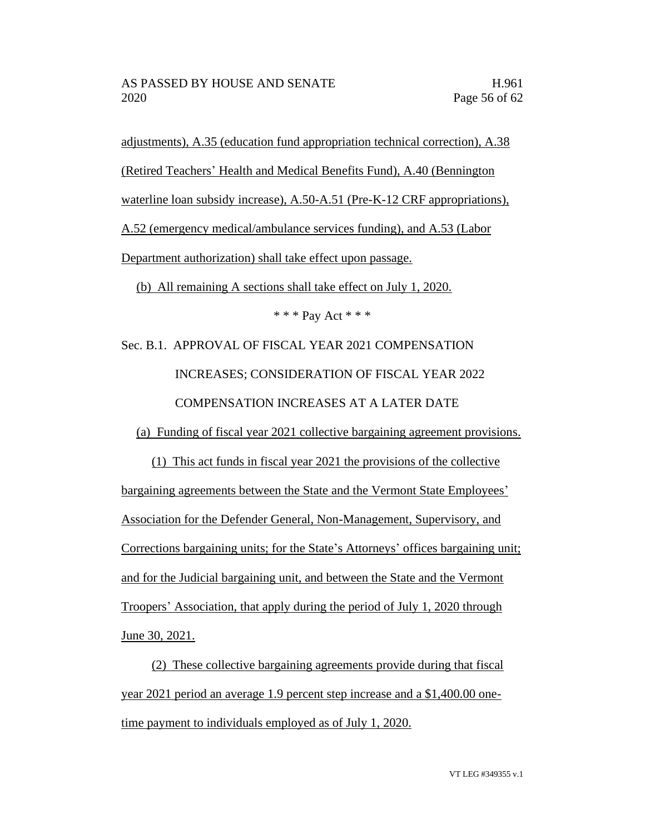adjustments), A.35 (education fund appropriation technical correction), A.38 (Retired Teachers' Health and Medical Benefits Fund), A.40 (Bennington waterline loan subsidy increase), A.50-A.51 (Pre-K-12 CRF appropriations), A.52 (emergency medical/ambulance services funding), and A.53 (Labor Department authorization) shall take effect upon passage. (b) All remaining A sections shall take effect on July 1, 2020.

\* \* \* Pay Act \* \* \*

Sec. B.1. APPROVAL OF FISCAL YEAR 2021 COMPENSATION INCREASES; CONSIDERATION OF FISCAL YEAR 2022 COMPENSATION INCREASES AT A LATER DATE

(a) Funding of fiscal year 2021 collective bargaining agreement provisions.

(1) This act funds in fiscal year 2021 the provisions of the collective bargaining agreements between the State and the Vermont State Employees' Association for the Defender General, Non-Management, Supervisory, and Corrections bargaining units; for the State's Attorneys' offices bargaining unit; and for the Judicial bargaining unit, and between the State and the Vermont Troopers' Association, that apply during the period of July 1, 2020 through June 30, 2021.

(2) These collective bargaining agreements provide during that fiscal year 2021 period an average 1.9 percent step increase and a \$1,400.00 onetime payment to individuals employed as of July 1, 2020.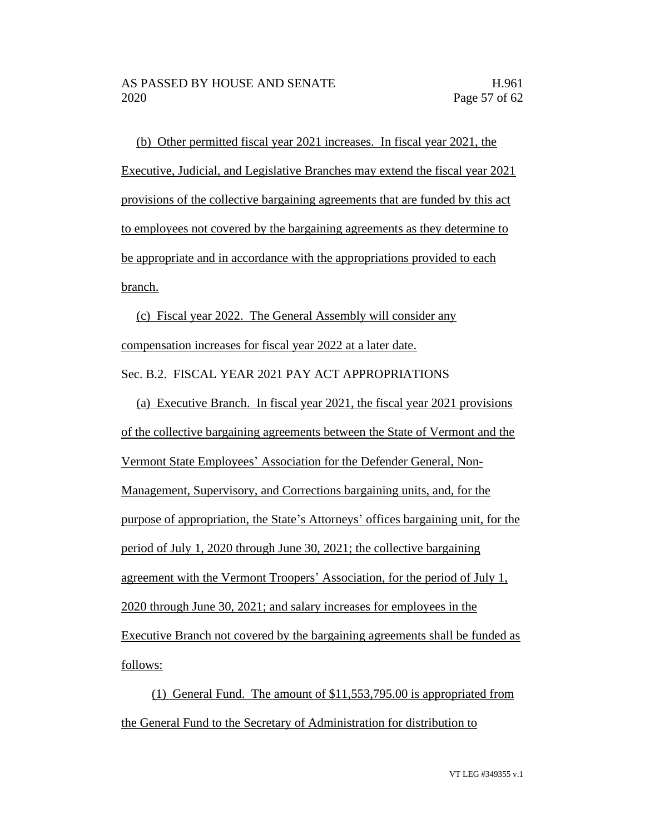(b) Other permitted fiscal year 2021 increases. In fiscal year 2021, the Executive, Judicial, and Legislative Branches may extend the fiscal year 2021 provisions of the collective bargaining agreements that are funded by this act to employees not covered by the bargaining agreements as they determine to be appropriate and in accordance with the appropriations provided to each branch.

(c) Fiscal year 2022. The General Assembly will consider any compensation increases for fiscal year 2022 at a later date. Sec. B.2. FISCAL YEAR 2021 PAY ACT APPROPRIATIONS

(a) Executive Branch. In fiscal year 2021, the fiscal year 2021 provisions of the collective bargaining agreements between the State of Vermont and the Vermont State Employees' Association for the Defender General, Non-Management, Supervisory, and Corrections bargaining units, and, for the purpose of appropriation, the State's Attorneys' offices bargaining unit, for the period of July 1, 2020 through June 30, 2021; the collective bargaining agreement with the Vermont Troopers' Association, for the period of July 1, 2020 through June 30, 2021; and salary increases for employees in the Executive Branch not covered by the bargaining agreements shall be funded as follows:

(1) General Fund. The amount of \$11,553,795.00 is appropriated from the General Fund to the Secretary of Administration for distribution to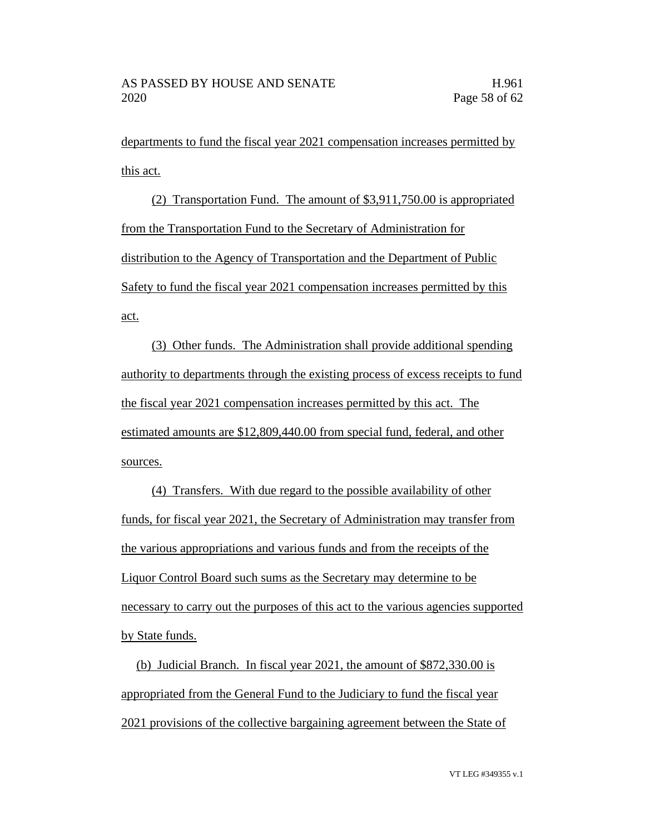departments to fund the fiscal year 2021 compensation increases permitted by this act.

(2) Transportation Fund. The amount of \$3,911,750.00 is appropriated from the Transportation Fund to the Secretary of Administration for distribution to the Agency of Transportation and the Department of Public Safety to fund the fiscal year 2021 compensation increases permitted by this act.

(3) Other funds. The Administration shall provide additional spending authority to departments through the existing process of excess receipts to fund the fiscal year 2021 compensation increases permitted by this act. The estimated amounts are \$12,809,440.00 from special fund, federal, and other sources.

(4) Transfers. With due regard to the possible availability of other funds, for fiscal year 2021, the Secretary of Administration may transfer from the various appropriations and various funds and from the receipts of the Liquor Control Board such sums as the Secretary may determine to be necessary to carry out the purposes of this act to the various agencies supported by State funds.

(b) Judicial Branch. In fiscal year 2021, the amount of \$872,330.00 is appropriated from the General Fund to the Judiciary to fund the fiscal year 2021 provisions of the collective bargaining agreement between the State of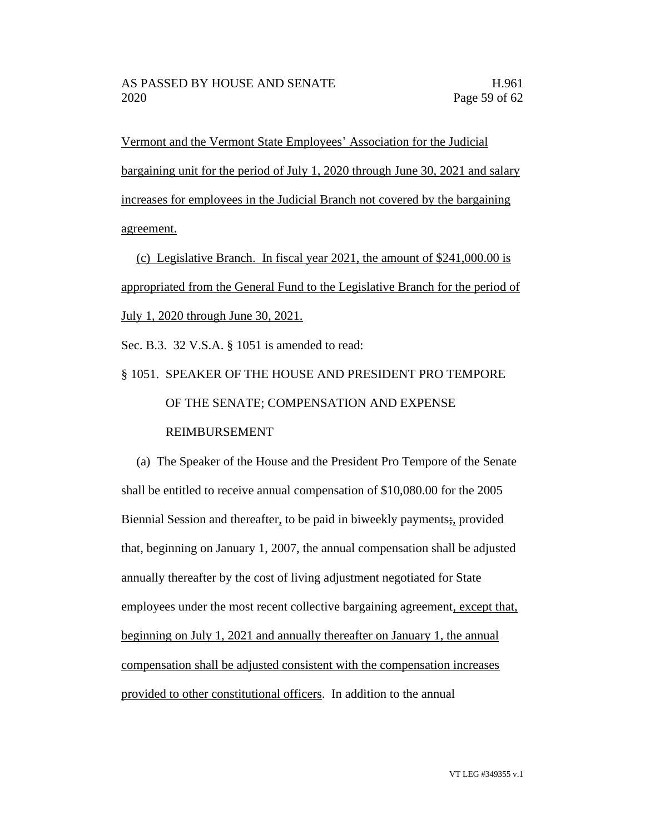Vermont and the Vermont State Employees' Association for the Judicial bargaining unit for the period of July 1, 2020 through June 30, 2021 and salary increases for employees in the Judicial Branch not covered by the bargaining agreement.

(c) Legislative Branch. In fiscal year 2021, the amount of \$241,000.00 is appropriated from the General Fund to the Legislative Branch for the period of July 1, 2020 through June 30, 2021.

Sec. B.3. 32 V.S.A. § 1051 is amended to read:

# § 1051. SPEAKER OF THE HOUSE AND PRESIDENT PRO TEMPORE OF THE SENATE; COMPENSATION AND EXPENSE REIMBURSEMENT

(a) The Speaker of the House and the President Pro Tempore of the Senate shall be entitled to receive annual compensation of \$10,080.00 for the 2005 Biennial Session and thereafter, to be paid in biweekly payments; provided that, beginning on January 1, 2007, the annual compensation shall be adjusted annually thereafter by the cost of living adjustment negotiated for State employees under the most recent collective bargaining agreement, except that, beginning on July 1, 2021 and annually thereafter on January 1, the annual compensation shall be adjusted consistent with the compensation increases provided to other constitutional officers. In addition to the annual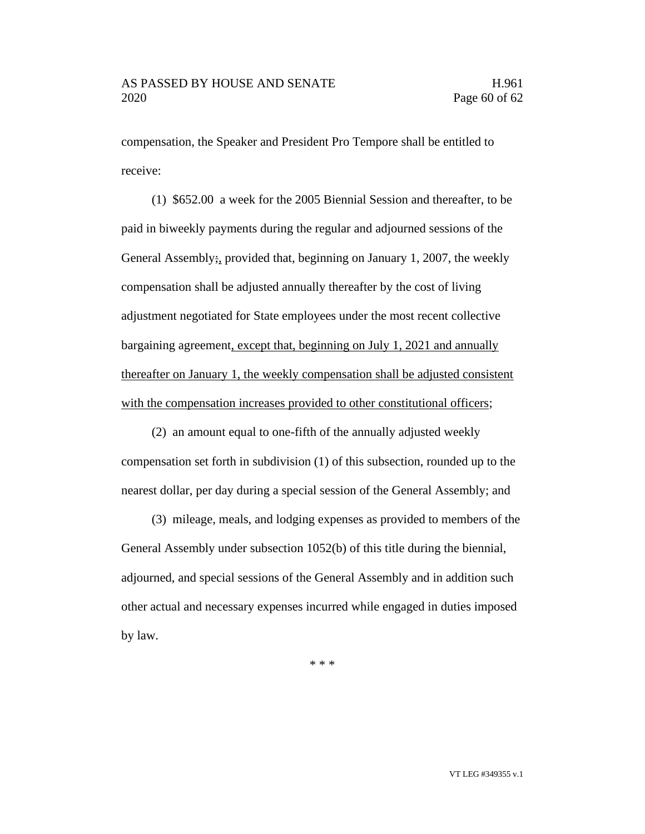compensation, the Speaker and President Pro Tempore shall be entitled to receive:

(1) \$652.00 a week for the 2005 Biennial Session and thereafter, to be paid in biweekly payments during the regular and adjourned sessions of the General Assembly;, provided that, beginning on January 1, 2007, the weekly compensation shall be adjusted annually thereafter by the cost of living adjustment negotiated for State employees under the most recent collective bargaining agreement, except that, beginning on July 1, 2021 and annually thereafter on January 1, the weekly compensation shall be adjusted consistent with the compensation increases provided to other constitutional officers;

(2) an amount equal to one-fifth of the annually adjusted weekly compensation set forth in subdivision (1) of this subsection, rounded up to the nearest dollar, per day during a special session of the General Assembly; and

(3) mileage, meals, and lodging expenses as provided to members of the General Assembly under subsection 1052(b) of this title during the biennial, adjourned, and special sessions of the General Assembly and in addition such other actual and necessary expenses incurred while engaged in duties imposed by law.

\* \* \*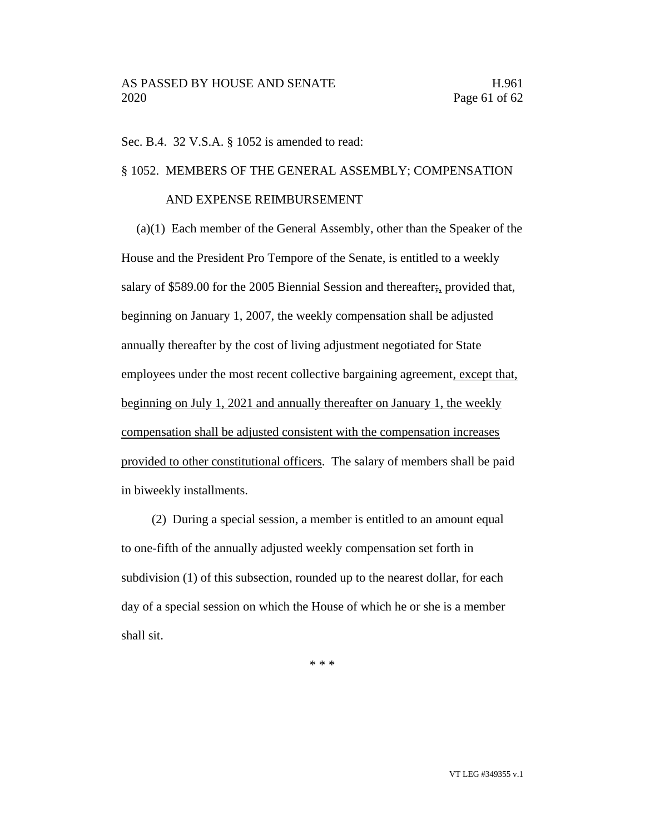#### Sec. B.4. 32 V.S.A. § 1052 is amended to read:

## § 1052. MEMBERS OF THE GENERAL ASSEMBLY; COMPENSATION

#### AND EXPENSE REIMBURSEMENT

(a)(1) Each member of the General Assembly, other than the Speaker of the House and the President Pro Tempore of the Senate, is entitled to a weekly salary of \$589.00 for the 2005 Biennial Session and thereafter; provided that, beginning on January 1, 2007, the weekly compensation shall be adjusted annually thereafter by the cost of living adjustment negotiated for State employees under the most recent collective bargaining agreement, except that, beginning on July 1, 2021 and annually thereafter on January 1, the weekly compensation shall be adjusted consistent with the compensation increases provided to other constitutional officers. The salary of members shall be paid in biweekly installments.

(2) During a special session, a member is entitled to an amount equal to one-fifth of the annually adjusted weekly compensation set forth in subdivision (1) of this subsection, rounded up to the nearest dollar, for each day of a special session on which the House of which he or she is a member shall sit.

\* \* \*